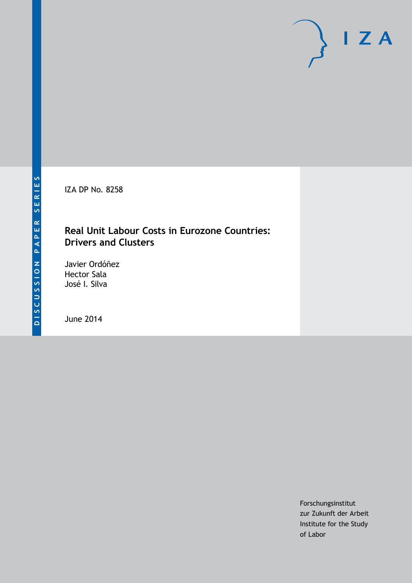IZA DP No. 8258

### **Real Unit Labour Costs in Eurozone Countries: Drivers and Clusters**

Javier Ordóñez Hector Sala José I. Silva

June 2014

Forschungsinstitut zur Zukunft der Arbeit Institute for the Study of Labor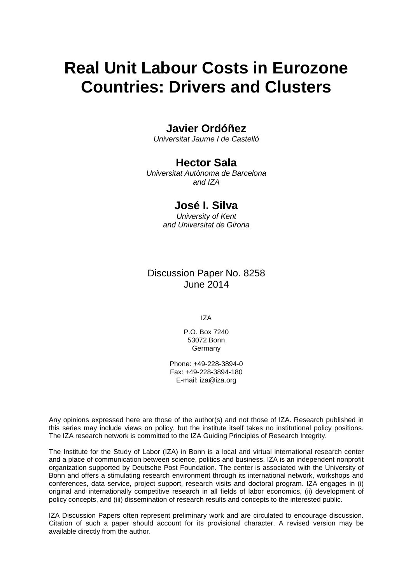# **Real Unit Labour Costs in Eurozone Countries: Drivers and Clusters**

### **Javier Ordóñez**

*Universitat Jaume I de Castelló*

### **Hector Sala**

*Universitat Autònoma de Barcelona and IZA*

### **José I. Silva**

*University of Kent and Universitat de Girona*

### Discussion Paper No. 8258 June 2014

IZA

P.O. Box 7240 53072 Bonn Germany

Phone: +49-228-3894-0 Fax: +49-228-3894-180 E-mail: [iza@iza.org](mailto:iza@iza.org)

Any opinions expressed here are those of the author(s) and not those of IZA. Research published in this series may include views on policy, but the institute itself takes no institutional policy positions. The IZA research network is committed to the IZA Guiding Principles of Research Integrity.

The Institute for the Study of Labor (IZA) in Bonn is a local and virtual international research center and a place of communication between science, politics and business. IZA is an independent nonprofit organization supported by Deutsche Post Foundation. The center is associated with the University of Bonn and offers a stimulating research environment through its international network, workshops and conferences, data service, project support, research visits and doctoral program. IZA engages in (i) original and internationally competitive research in all fields of labor economics, (ii) development of policy concepts, and (iii) dissemination of research results and concepts to the interested public.

<span id="page-1-0"></span>IZA Discussion Papers often represent preliminary work and are circulated to encourage discussion. Citation of such a paper should account for its provisional character. A revised version may be available directly from the author.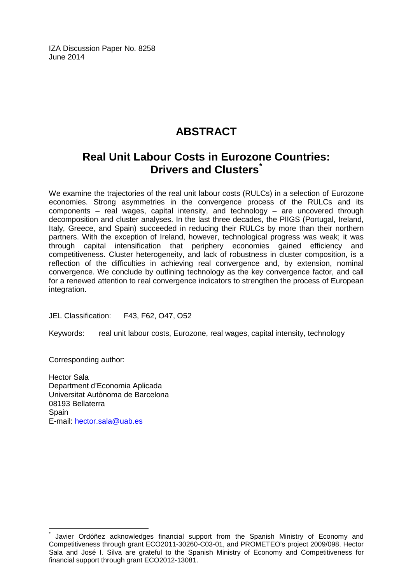IZA Discussion Paper No. 8258 June 2014

## **ABSTRACT**

### **Real Unit Labour Costs in Eurozone Countries: Drivers and Clusters[\\*](#page-1-0)**

We examine the trajectories of the real unit labour costs (RULCs) in a selection of Eurozone economies. Strong asymmetries in the convergence process of the RULCs and its components – real wages, capital intensity, and technology – are uncovered through decomposition and cluster analyses. In the last three decades, the PIIGS (Portugal, Ireland, Italy, Greece, and Spain) succeeded in reducing their RULCs by more than their northern partners. With the exception of Ireland, however, technological progress was weak; it was through capital intensification that periphery economies gained efficiency and competitiveness. Cluster heterogeneity, and lack of robustness in cluster composition, is a reflection of the difficulties in achieving real convergence and, by extension, nominal convergence. We conclude by outlining technology as the key convergence factor, and call for a renewed attention to real convergence indicators to strengthen the process of European integration.

JEL Classification: F43, F62, O47, O52

Keywords: real unit labour costs, Eurozone, real wages, capital intensity, technology

Corresponding author:

Hector Sala Department d'Economia Aplicada Universitat Autònoma de Barcelona 08193 Bellaterra **Spain** E-mail: [hector.sala@uab.es](mailto:hector.sala@uab.es)

Javier Ordóñez acknowledges financial support from the Spanish Ministry of Economy and Competitiveness through grant ECO2011-30260-C03-01, and PROMETEO's project 2009/098. Hector Sala and José I. Silva are grateful to the Spanish Ministry of Economy and Competitiveness for financial support through grant ECO2012-13081.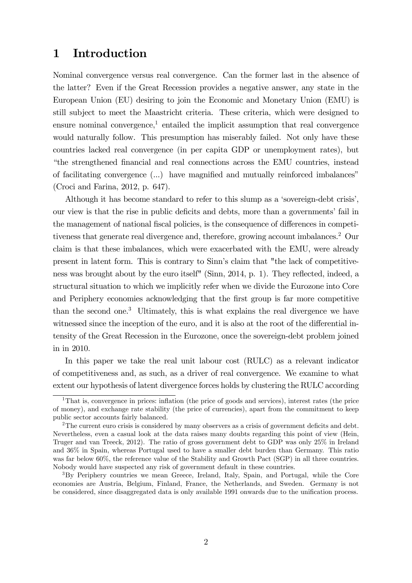### 1 Introduction

Nominal convergence versus real convergence. Can the former last in the absence of the latter? Even if the Great Recession provides a negative answer, any state in the European Union (EU) desiring to join the Economic and Monetary Union (EMU) is still subject to meet the Maastricht criteria. These criteria, which were designed to ensure nominal convergence,<sup>1</sup> entailed the implicit assumption that real convergence would naturally follow. This presumption has miserably failed. Not only have these countries lacked real convergence (in per capita GDP or unemployment rates), but "the strengthened financial and real connections across the EMU countries, instead of facilitating convergence (...) have magnified and mutually reinforced imbalances" (Croci and Farina, 2012, p. 647).

Although it has become standard to refer to this slump as a 'sovereign-debt crisis', our view is that the rise in public deficits and debts, more than a governments' fail in the management of national fiscal policies, is the consequence of differences in competitiveness that generate real divergence and, therefore, growing account imbalances.2 Our claim is that these imbalances, which were exacerbated with the EMU, were already present in latent form. This is contrary to Sinn's claim that "the lack of competitiveness was brought about by the euro itself" (Sinn, 2014, p. 1). They reflected, indeed, a structural situation to which we implicitly refer when we divide the Eurozone into Core and Periphery economies acknowledging that the first group is far more competitive than the second one.3 Ultimately, this is what explains the real divergence we have witnessed since the inception of the euro, and it is also at the root of the differential intensity of the Great Recession in the Eurozone, once the sovereign-debt problem joined in in 2010.

In this paper we take the real unit labour cost (RULC) as a relevant indicator of competitiveness and, as such, as a driver of real convergence. We examine to what extent our hypothesis of latent divergence forces holds by clustering the RULC according

<sup>&</sup>lt;sup>1</sup>That is, convergence in prices: inflation (the price of goods and services), interest rates (the price of money), and exchange rate stability (the price of currencies), apart from the commitment to keep public sector accounts fairly balanced.

<sup>&</sup>lt;sup>2</sup>The current euro crisis is considered by many observers as a crisis of government deficits and debt. Nevertheless, even a casual look at the data raises many doubts regarding this point of view (Hein, Truger and van Treeck, 2012). The ratio of gross government debt to GDP was only 25% in Ireland and 36% in Spain, whereas Portugal used to have a smaller debt burden than Germany. This ratio was far below 60%, the reference value of the Stability and Growth Pact (SGP) in all three countries. Nobody would have suspected any risk of government default in these countries.

<sup>3</sup>By Periphery countries we mean Greece, Ireland, Italy, Spain, and Portugal, while the Core economies are Austria, Belgium, Finland, France, the Netherlands, and Sweden. Germany is not be considered, since disaggregated data is only available 1991 onwards due to the unification process.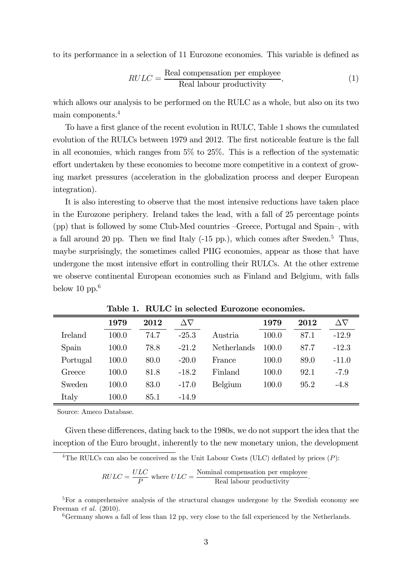to its performance in a selection of 11 Eurozone economies. This variable is defined as

$$
RULC = \frac{\text{Real compensation per employee}}{\text{Real labour productivity}},\tag{1}
$$

which allows our analysis to be performed on the RULC as a whole, but also on its two main components.4

To have a first glance of the recent evolution in RULC, Table 1 shows the cumulated evolution of the RULCs between 1979 and 2012. The first noticeable feature is the fall in all economies, which ranges from 5% to 25%. This is a reflection of the systematic effort undertaken by these economies to become more competitive in a context of growing market pressures (acceleration in the globalization process and deeper European integration).

It is also interesting to observe that the most intensive reductions have taken place in the Eurozone periphery. Ireland takes the lead, with a fall of 25 percentage points (pp) that is followed by some Club-Med countries —Greece, Portugal and Spain—, with a fall around 20 pp. Then we find Italy  $(-15 \text{ pp.})$ , which comes after Sweden.<sup>5</sup> Thus, maybe surprisingly, the sometimes called PIIG economies, appear as those that have undergone the most intensive effort in controlling their RULCs. At the other extreme we observe continental European economies such as Finland and Belgium, with falls below 10 pp. $6$ 

|          | Tanie T.<br>TULLUM III SEIECLEU EUILUZUILE ECUITUILILES. |      |                 |             |       |      |                 |  |
|----------|----------------------------------------------------------|------|-----------------|-------------|-------|------|-----------------|--|
|          | 1979                                                     | 2012 | $\Delta \nabla$ |             | 1979  | 2012 | $\Delta \nabla$ |  |
| Ireland  | 100.0                                                    | 74.7 | $-25.3$         | Austria     | 100.0 | 87.1 | $-12.9$         |  |
| Spain    | 100.0                                                    | 78.8 | $-21.2$         | Netherlands | 100.0 | 87.7 | $-12.3$         |  |
| Portugal | 100.0                                                    | 80.0 | $-20.0$         | France      | 100.0 | 89.0 | $-11.0$         |  |
| Greece   | 100.0                                                    | 81.8 | $-18.2$         | Finland     | 100.0 | 92.1 | $-7.9$          |  |
| Sweden   | 100.0                                                    | 83.0 | $-17.0$         | Belgium     | 100.0 | 95.2 | $-4.8$          |  |
| Italy    | 100.0                                                    | 85.1 | $-14.9$         |             |       |      |                 |  |

Table 1. RULC in selected Eurozone economies.

Source: Ameco Database.

Given these differences, dating back to the 1980s, we do not support the idea that the inception of the Euro brought, inherently to the new monetary union, the development

<sup>4</sup>The RULCs can also be conceived as the Unit Labour Costs (ULC) deflated by prices  $(P)$ :

$$
RULC = \frac{ULC}{P}
$$
 where  $ULC = \frac{\text{Nominal compensation per employee}}{\text{Real labour productivity}}$ .

<sup>5</sup>For a comprehensive analysis of the structural changes undergone by the Swedish economy see Freeman et al. (2010).

 $6$ Germany shows a fall of less than 12 pp, very close to the fall experienced by the Netherlands.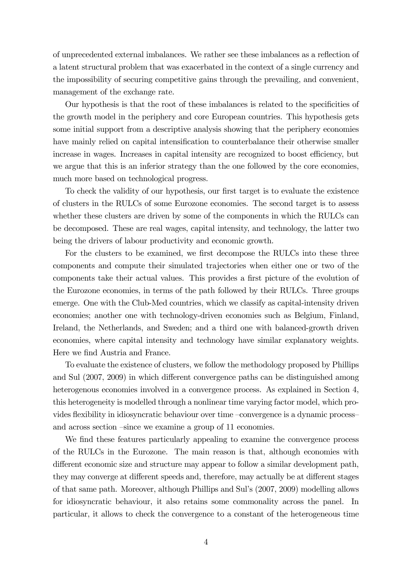of unprecedented external imbalances. We rather see these imbalances as a reflection of a latent structural problem that was exacerbated in the context of a single currency and the impossibility of securing competitive gains through the prevailing, and convenient, management of the exchange rate.

Our hypothesis is that the root of these imbalances is related to the specificities of the growth model in the periphery and core European countries. This hypothesis gets some initial support from a descriptive analysis showing that the periphery economies have mainly relied on capital intensification to counterbalance their otherwise smaller increase in wages. Increases in capital intensity are recognized to boost efficiency, but we argue that this is an inferior strategy than the one followed by the core economies, much more based on technological progress.

To check the validity of our hypothesis, our first target is to evaluate the existence of clusters in the RULCs of some Eurozone economies. The second target is to assess whether these clusters are driven by some of the components in which the RULCs can be decomposed. These are real wages, capital intensity, and technology, the latter two being the drivers of labour productivity and economic growth.

For the clusters to be examined, we first decompose the RULCs into these three components and compute their simulated trajectories when either one or two of the components take their actual values. This provides a first picture of the evolution of the Eurozone economies, in terms of the path followed by their RULCs. Three groups emerge. One with the Club-Med countries, which we classify as capital-intensity driven economies; another one with technology-driven economies such as Belgium, Finland, Ireland, the Netherlands, and Sweden; and a third one with balanced-growth driven economies, where capital intensity and technology have similar explanatory weights. Here we find Austria and France.

To evaluate the existence of clusters, we follow the methodology proposed by Phillips and Sul (2007, 2009) in which different convergence paths can be distinguished among heterogenous economies involved in a convergence process. As explained in Section 4, this heterogeneity is modelled through a nonlinear time varying factor model, which provides flexibility in idiosyncratic behaviour over time —convergence is a dynamic process and across section —since we examine a group of 11 economies.

We find these features particularly appealing to examine the convergence process of the RULCs in the Eurozone. The main reason is that, although economies with different economic size and structure may appear to follow a similar development path, they may converge at different speeds and, therefore, may actually be at different stages of that same path. Moreover, although Phillips and Sul's (2007, 2009) modelling allows for idiosyncratic behaviour, it also retains some commonality across the panel. In particular, it allows to check the convergence to a constant of the heterogeneous time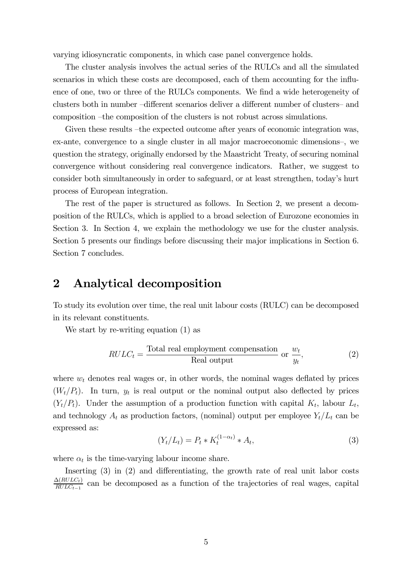varying idiosyncratic components, in which case panel convergence holds.

The cluster analysis involves the actual series of the RULCs and all the simulated scenarios in which these costs are decomposed, each of them accounting for the influence of one, two or three of the RULCs components. We find a wide heterogeneity of clusters both in number —different scenarios deliver a different number of clusters— and composition —the composition of the clusters is not robust across simulations.

Given these results —the expected outcome after years of economic integration was, ex-ante, convergence to a single cluster in all major macroeconomic dimensions—, we question the strategy, originally endorsed by the Maastricht Treaty, of securing nominal convergence without considering real convergence indicators. Rather, we suggest to consider both simultaneously in order to safeguard, or at least strengthen, today's hurt process of European integration.

The rest of the paper is structured as follows. In Section 2, we present a decomposition of the RULCs, which is applied to a broad selection of Eurozone economies in Section 3. In Section 4, we explain the methodology we use for the cluster analysis. Section 5 presents our findings before discussing their major implications in Section 6. Section 7 concludes.

### 2 Analytical decomposition

To study its evolution over time, the real unit labour costs (RULC) can be decomposed in its relevant constituents.

We start by re-writing equation (1) as

$$
RULC_t = \frac{\text{Total real employment compensation}}{\text{Real output}} \text{ or } \frac{w_t}{y_t},\tag{2}
$$

where  $w_t$  denotes real wages or, in other words, the nominal wages deflated by prices  $(W_t/P_t)$ . In turn,  $y_t$  is real output or the nominal output also deflected by prices  $(Y_t/P_t)$ . Under the assumption of a production function with capital  $K_t$ , labour  $L_t$ , and technology  $A_t$  as production factors, (nominal) output per employee  $Y_t/L_t$  can be expressed as:

$$
(Y_t/L_t) = P_t * K_t^{(1-\alpha_t)} * A_t,
$$
\n(3)

where  $\alpha_t$  is the time-varying labour income share.

Inserting (3) in (2) and differentiating, the growth rate of real unit labor costs  $\frac{\Delta(RULC_t)}{RULC_{t-1}}$  can be decomposed as a function of the trajectories of real wages, capital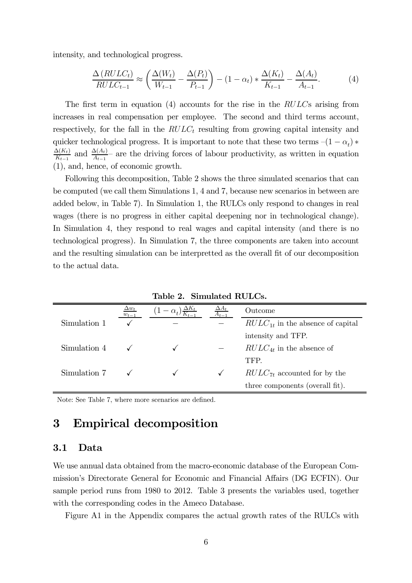intensity, and technological progress.

$$
\frac{\Delta(RULC_t)}{RULC_{t-1}} \approx \left(\frac{\Delta(W_t)}{W_{t-1}} - \frac{\Delta(P_t)}{P_{t-1}}\right) - (1 - \alpha_t) * \frac{\Delta(K_t)}{K_{t-1}} - \frac{\Delta(A_t)}{A_{t-1}}.\tag{4}
$$

The first term in equation (4) accounts for the rise in the  $RULCS$  arising from increases in real compensation per employee. The second and third terms account, respectively, for the fall in the  $RULC_t$  resulting from growing capital intensity and quicker technological progress. It is important to note that these two terms  $-(1 - \alpha_t) *$  $\frac{\Delta(K_t)}{K_{t-1}}$  and  $\frac{\Delta(A_t)}{A_{t-1}}$  are the driving forces of labour productivity, as written in equation (1), and, hence, of economic growth.

Following this decomposition, Table 2 shows the three simulated scenarios that can be computed (we call them Simulations 1, 4 and 7, because new scenarios in between are added below, in Table 7). In Simulation 1, the RULCs only respond to changes in real wages (there is no progress in either capital deepening nor in technological change). In Simulation 4, they respond to real wages and capital intensity (and there is no technological progress). In Simulation 7, the three components are taken into account and the resulting simulation can be interpretted as the overall fit of our decomposition to the actual data.

|              | $\Delta w_t$<br>$\overline{w_{t-1}}$ | $\bar{A}_{t-1}$ | Outcome                               |
|--------------|--------------------------------------|-----------------|---------------------------------------|
| Simulation 1 |                                      |                 | $RULC_{1t}$ in the absence of capital |
|              |                                      |                 | intensity and TFP.                    |
| Simulation 4 |                                      |                 | $RULC_{4t}$ in the absence of         |
|              |                                      |                 | TFP.                                  |
| Simulation 7 |                                      |                 | $RULC_{7t}$ accounted for by the      |
|              |                                      |                 | three components (overall fit).       |

Table 2. Simulated RULCs.

Note: See Table 7, where more scenarios are defined.

### 3 Empirical decomposition

#### 3.1 Data

 $\equiv$ 

We use annual data obtained from the macro-economic database of the European Commission's Directorate General for Economic and Financial Affairs (DG ECFIN). Our sample period runs from 1980 to 2012. Table 3 presents the variables used, together with the corresponding codes in the Ameco Database.

Figure A1 in the Appendix compares the actual growth rates of the RULCs with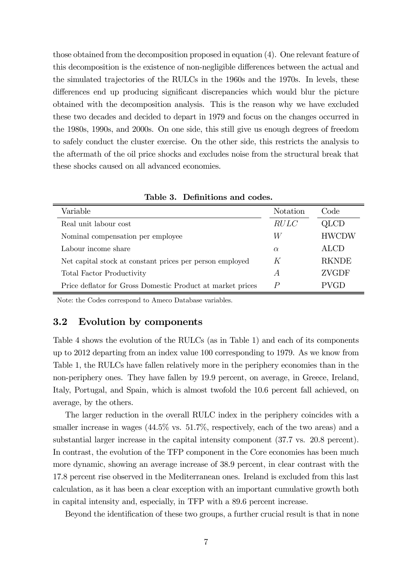those obtained from the decomposition proposed in equation (4). One relevant feature of this decomposition is the existence of non-negligible differences between the actual and the simulated trajectories of the RULCs in the 1960s and the 1970s. In levels, these differences end up producing significant discrepancies which would blur the picture obtained with the decomposition analysis. This is the reason why we have excluded these two decades and decided to depart in 1979 and focus on the changes occurred in the 1980s, 1990s, and 2000s. On one side, this still give us enough degrees of freedom to safely conduct the cluster exercise. On the other side, this restricts the analysis to the aftermath of the oil price shocks and excludes noise from the structural break that these shocks caused on all advanced economies.

| Variable                                                   | Notation         | Code         |
|------------------------------------------------------------|------------------|--------------|
| Real unit labour cost                                      | RULC             | QLCD         |
| Nominal compensation per employee                          | W                | <b>HWCDW</b> |
| Labour income share                                        | $\alpha$         | ALCD         |
| Net capital stock at constant prices per person employed   | K                | <b>RKNDE</b> |
| <b>Total Factor Productivity</b>                           | A                | <b>ZVGDF</b> |
| Price deflator for Gross Domestic Product at market prices | $\boldsymbol{P}$ | PVGD         |

Table 3. Definitions and codes.

Note: the Codes correspond to Ameco Database variables.

#### 3.2 Evolution by components

Table 4 shows the evolution of the RULCs (as in Table 1) and each of its components up to 2012 departing from an index value 100 corresponding to 1979. As we know from Table 1, the RULCs have fallen relatively more in the periphery economies than in the non-periphery ones. They have fallen by 19.9 percent, on average, in Greece, Ireland, Italy, Portugal, and Spain, which is almost twofold the 10.6 percent fall achieved, on average, by the others.

The larger reduction in the overall RULC index in the periphery coincides with a smaller increase in wages  $(44.5\% \text{ vs. } 51.7\%$ , respectively, each of the two areas) and a substantial larger increase in the capital intensity component (37.7 vs. 20.8 percent). In contrast, the evolution of the TFP component in the Core economies has been much more dynamic, showing an average increase of 38.9 percent, in clear contrast with the 17.8 percent rise observed in the Mediterranean ones. Ireland is excluded from this last calculation, as it has been a clear exception with an important cumulative growth both in capital intensity and, especially, in TFP with a 89.6 percent increase.

Beyond the identification of these two groups, a further crucial result is that in none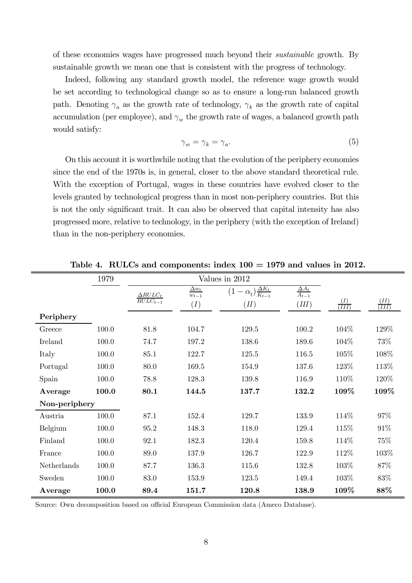of these economies wages have progressed much beyond their sustainable growth. By sustainable growth we mean one that is consistent with the progress of technology.

Indeed, following any standard growth model, the reference wage growth would be set according to technological change so as to ensure a long-run balanced growth path. Denoting  $\gamma_a$  as the growth rate of technology,  $\gamma_k$  as the growth rate of capital accumulation (per employee), and  $\gamma_w$  the growth rate of wages, a balanced growth path would satisfy:

$$
\gamma_w = \gamma_k = \gamma_a. \tag{5}
$$

On this account it is worthwhile noting that the evolution of the periphery economies since the end of the 1970s is, in general, closer to the above standard theoretical rule. With the exception of Portugal, wages in these countries have evolved closer to the levels granted by technological progress than in most non-periphery countries. But this is not the only significant trait. It can also be observed that capital intensity has also progressed more, relative to technology, in the periphery (with the exception of Ireland) than in the non-periphery economies.

|               | 1979  |                                    |                                  |                                                  |                                       |                     |                      |
|---------------|-------|------------------------------------|----------------------------------|--------------------------------------------------|---------------------------------------|---------------------|----------------------|
|               |       | $\frac{\Delta RULC_t}{RULC_{t-1}}$ | $\Delta w_t$<br>$w_{t-1}$<br>(I) | $(1-\alpha_t)\frac{\Delta K_t}{K_{t-1}}$<br>(II) | $\frac{\Delta A_t}{A_{t-1}}$<br>(III) | $\frac{(I)}{(III)}$ | $\frac{(II)}{(III)}$ |
| Periphery     |       |                                    |                                  |                                                  |                                       |                     |                      |
| Greece        | 100.0 | 81.8                               | 104.7                            | 129.5                                            | 100.2                                 | 104\%               | 129%                 |
| Ireland       | 100.0 | 74.7                               | 197.2                            | 138.6                                            | 189.6                                 | 104\%               | 73%                  |
| Italy         | 100.0 | 85.1                               | 122.7                            | 125.5                                            | 116.5                                 | 105%                | 108%                 |
| Portugal      | 100.0 | 80.0                               | 169.5                            | 154.9                                            | 137.6                                 | 123%                | 113%                 |
| Spain         | 100.0 | 78.8                               | 128.3                            | 139.8                                            | 116.9                                 | 110%                | 120%                 |
| Average       | 100.0 | 80.1                               | 144.5                            | 137.7                                            | 132.2                                 | 109%                | 109%                 |
| Non-periphery |       |                                    |                                  |                                                  |                                       |                     |                      |
| Austria       | 100.0 | 87.1                               | 152.4                            | 129.7                                            | 133.9                                 | 114%                | 97%                  |
| Belgium       | 100.0 | 95.2                               | 148.3                            | 118.0                                            | 129.4                                 | 115%                | 91\%                 |
| Finland       | 100.0 | 92.1                               | 182.3                            | 120.4                                            | 159.8                                 | 114%                | 75%                  |
| France        | 100.0 | 89.0                               | 137.9                            | 126.7                                            | 122.9                                 | 112%                | 103%                 |
| Netherlands   | 100.0 | 87.7                               | 136.3                            | 115.6                                            | 132.8                                 | 103%                | 87%                  |
| Sweden        | 100.0 | 83.0                               | 153.9                            | 123.5                                            | 149.4                                 | 103%                | 83\%                 |
| Average       | 100.0 | 89.4                               | 151.7                            | 120.8                                            | 138.9                                 | 109%                | 88%                  |

Table 4. RULCs and components: index  $100 = 1979$  and values in 2012.

Source: Own decomposition based on official European Commission data (Ameco Database).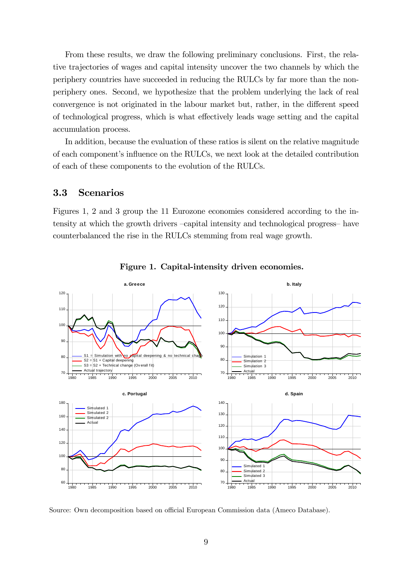From these results, we draw the following preliminary conclusions. First, the relative trajectories of wages and capital intensity uncover the two channels by which the periphery countries have succeeded in reducing the RULCs by far more than the nonperiphery ones. Second, we hypothesize that the problem underlying the lack of real convergence is not originated in the labour market but, rather, in the different speed of technological progress, which is what effectively leads wage setting and the capital accumulation process.

In addition, because the evaluation of these ratios is silent on the relative magnitude of each component's influence on the RULCs, we next look at the detailed contribution of each of these components to the evolution of the RULCs.

#### 3.3 Scenarios

Figures 1, 2 and 3 group the 11 Eurozone economies considered according to the intensity at which the growth drivers —capital intensity and technological progress— have counterbalanced the rise in the RULCs stemming from real wage growth.



Figure 1. Capital-intensity driven economies.

Source: Own decomposition based on official European Commission data (Ameco Database).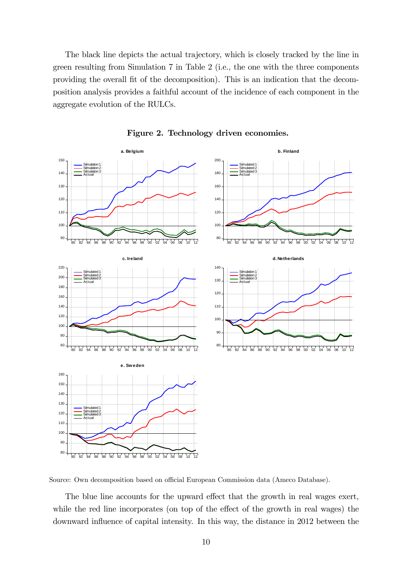The black line depicts the actual trajectory, which is closely tracked by the line in green resulting from Simulation 7 in Table 2 (i.e., the one with the three components providing the overall fit of the decomposition). This is an indication that the decomposition analysis provides a faithful account of the incidence of each component in the aggregate evolution of the RULCs.



Figure 2. Technology driven economies.

Source: Own decomposition based on official European Commission data (Ameco Database).

The blue line accounts for the upward effect that the growth in real wages exert, while the red line incorporates (on top of the effect of the growth in real wages) the downward influence of capital intensity. In this way, the distance in 2012 between the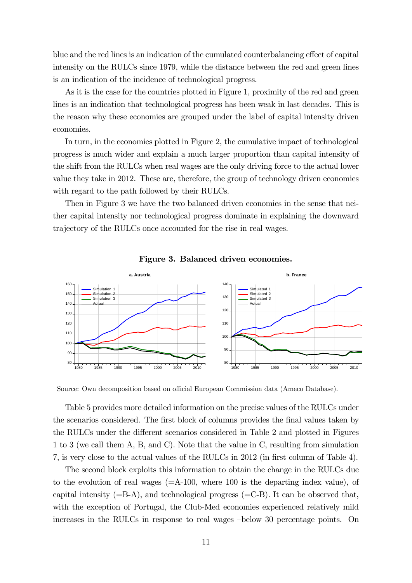blue and the red lines is an indication of the cumulated counterbalancing effect of capital intensity on the RULCs since 1979, while the distance between the red and green lines is an indication of the incidence of technological progress.

As it is the case for the countries plotted in Figure 1, proximity of the red and green lines is an indication that technological progress has been weak in last decades. This is the reason why these economies are grouped under the label of capital intensity driven economies.

In turn, in the economies plotted in Figure 2, the cumulative impact of technological progress is much wider and explain a much larger proportion than capital intensity of the shift from the RULCs when real wages are the only driving force to the actual lower value they take in 2012. These are, therefore, the group of technology driven economies with regard to the path followed by their RULCs.

Then in Figure 3 we have the two balanced driven economies in the sense that neither capital intensity nor technological progress dominate in explaining the downward trajectory of the RULCs once accounted for the rise in real wages.



#### Figure 3. Balanced driven economies.

Source: Own decomposition based on official European Commission data (Ameco Database).

Table 5 provides more detailed information on the precise values of the RULCs under the scenarios considered. The first block of columns provides the final values taken by the RULCs under the different scenarios considered in Table 2 and plotted in Figures 1 to 3 (we call them A, B, and C). Note that the value in C, resulting from simulation 7, is very close to the actual values of the RULCs in 2012 (in first column of Table 4).

The second block exploits this information to obtain the change in the RULCs due to the evolution of real wages  $(=A-100,$  where 100 is the departing index value), of capital intensity  $(=B-A)$ , and technological progress  $(=C-B)$ . It can be observed that, with the exception of Portugal, the Club-Med economies experienced relatively mild increases in the RULCs in response to real wages —below 30 percentage points. On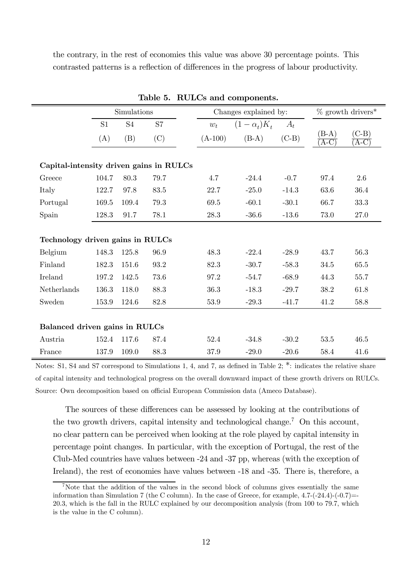the contrary, in the rest of economies this value was above 30 percentage points. This contrasted patterns is a reflection of differences in the progress of labour productivity.

| Table 5. RULUs and components.          |       |                |      |  |           |                       |         |       |                                 |
|-----------------------------------------|-------|----------------|------|--|-----------|-----------------------|---------|-------|---------------------------------|
|                                         |       | Simulations    |      |  |           | Changes explained by: |         |       | $%$ growth drivers <sup>*</sup> |
|                                         | S1    | S <sub>4</sub> | S7   |  | $w_t$     | $(1-\alpha_t)K_t$     | $A_t$   |       |                                 |
|                                         | (A)   | (B)            | (C)  |  | $(A-100)$ | $(B-A)$               | $(C-B)$ | (B-A) | $(C-B)$<br>$A-C$                |
| Capital-intensity driven gains in RULCs |       |                |      |  |           |                       |         |       |                                 |
| Greece                                  | 104.7 | 80.3           | 79.7 |  | 4.7       | $-24.4$               | $-0.7$  | 97.4  | 2.6                             |
| Italy                                   | 122.7 | 97.8           | 83.5 |  | 22.7      | $-25.0$               | $-14.3$ | 63.6  | 36.4                            |
| Portugal                                | 169.5 | 109.4          | 79.3 |  | 69.5      | $-60.1$               | $-30.1$ | 66.7  | 33.3                            |
| Spain                                   | 128.3 | 91.7           | 78.1 |  | 28.3      | $-36.6$               | $-13.6$ | 73.0  | 27.0                            |
| Technology driven gains in RULCs        |       |                |      |  |           |                       |         |       |                                 |
| Belgium                                 | 148.3 | 125.8          | 96.9 |  | 48.3      | $-22.4$               | $-28.9$ | 43.7  | 56.3                            |
| Finland                                 | 182.3 | 151.6          | 93.2 |  | 82.3      | $-30.7$               | $-58.3$ | 34.5  | 65.5                            |
| Ireland                                 | 197.2 | 142.5          | 73.6 |  | 97.2      | $-54.7$               | $-68.9$ | 44.3  | 55.7                            |
| Netherlands                             | 136.3 | 118.0          | 88.3 |  | 36.3      | $-18.3$               | $-29.7$ | 38.2  | 61.8                            |
| Sweden                                  | 153.9 | 124.6          | 82.8 |  | 53.9      | $-29.3$               | $-41.7$ | 41.2  | 58.8                            |
| Balanced driven gains in RULCs          |       |                |      |  |           |                       |         |       |                                 |
| Austria                                 | 152.4 | 117.6          | 87.4 |  | 52.4      | $-34.8$               | $-30.2$ | 53.5  | 46.5                            |
| France                                  | 137.9 | 109.0          | 88.3 |  | 37.9      | $-29.0$               | $-20.6$ | 58.4  | 41.6                            |

Table 5. RULCs and components.

Notes: S1, S4 and S7 correspond to Simulations 1, 4, and 7, as defined in Table 2;  $*$ : indicates the relative share of capital intensity and technological progress on the overall downward impact of these growth drivers on RULCs. Source: Own decomposition based on official European Commission data (Ameco Database).

The sources of these differences can be assessed by looking at the contributions of the two growth drivers, capital intensity and technological change.7 On this account, no clear pattern can be perceived when looking at the role played by capital intensity in percentage point changes. In particular, with the exception of Portugal, the rest of the Club-Med countries have values between -24 and -37 pp, whereas (with the exception of Ireland), the rest of economies have values between  $-18$  and  $-35$ . There is, therefore, a

<sup>&</sup>lt;sup>7</sup>Note that the addition of the values in the second block of columns gives essentially the same information than Simulation 7 (the C column). In the case of Greece, for example,  $4.7(-24.4)-(0.7)=$ 20.3, which is the fall in the RULC explained by our decomposition analysis (from 100 to 79.7, which is the value in the C column).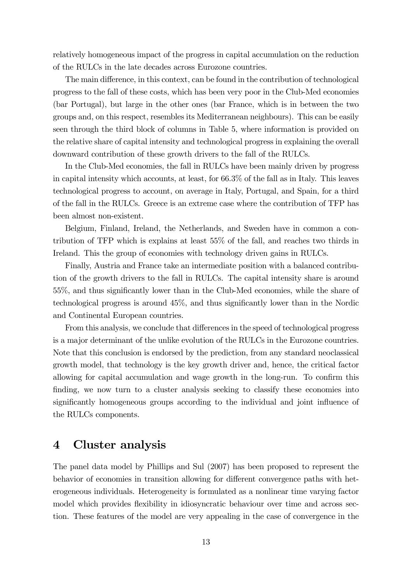relatively homogeneous impact of the progress in capital accumulation on the reduction of the RULCs in the late decades across Eurozone countries.

The main difference, in this context, can be found in the contribution of technological progress to the fall of these costs, which has been very poor in the Club-Med economies (bar Portugal), but large in the other ones (bar France, which is in between the two groups and, on this respect, resembles its Mediterranean neighbours). This can be easily seen through the third block of columns in Table 5, where information is provided on the relative share of capital intensity and technological progress in explaining the overall downward contribution of these growth drivers to the fall of the RULCs.

In the Club-Med economies, the fall in RULCs have been mainly driven by progress in capital intensity which accounts, at least, for 66.3% of the fall as in Italy. This leaves technological progress to account, on average in Italy, Portugal, and Spain, for a third of the fall in the RULCs. Greece is an extreme case where the contribution of TFP has been almost non-existent.

Belgium, Finland, Ireland, the Netherlands, and Sweden have in common a contribution of TFP which is explains at least 55% of the fall, and reaches two thirds in Ireland. This the group of economies with technology driven gains in RULCs.

Finally, Austria and France take an intermediate position with a balanced contribution of the growth drivers to the fall in RULCs. The capital intensity share is around 55%, and thus significantly lower than in the Club-Med economies, while the share of technological progress is around 45%, and thus significantly lower than in the Nordic and Continental European countries.

From this analysis, we conclude that differences in the speed of technological progress is a major determinant of the unlike evolution of the RULCs in the Eurozone countries. Note that this conclusion is endorsed by the prediction, from any standard neoclassical growth model, that technology is the key growth driver and, hence, the critical factor allowing for capital accumulation and wage growth in the long-run. To confirm this finding, we now turn to a cluster analysis seeking to classify these economies into significantly homogeneous groups according to the individual and joint influence of the RULCs components.

### 4 Cluster analysis

The panel data model by Phillips and Sul (2007) has been proposed to represent the behavior of economies in transition allowing for different convergence paths with heterogeneous individuals. Heterogeneity is formulated as a nonlinear time varying factor model which provides flexibility in idiosyncratic behaviour over time and across section. These features of the model are very appealing in the case of convergence in the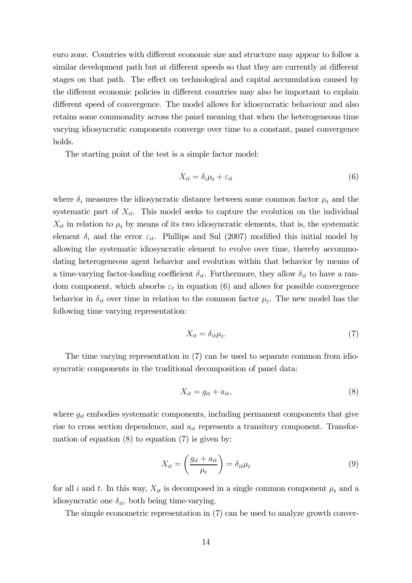euro zone. Countries with different economic size and structure may appear to follow a similar development path but at different speeds so that they are currently at different stages on that path. The effect on technological and capital accumulation caused by the different economic policies in different countries may also be important to explain different speed of convergence. The model allows for idiosyncratic behaviour and also retains some commonality across the panel meaning that when the heterogeneous time varying idiosyncratic components converge over time to a constant, panel convergence holds.

The starting point of the test is a simple factor model:

$$
X_{it} = \delta_i \mu_t + \varepsilon_{it} \tag{6}
$$

where  $\delta_i$  measures the idiosyncratic distance between some common factor  $\mu_t$  and the systematic part of  $X_{it}$ . This model seeks to capture the evolution on the individual  $X_{it}$  in relation to  $\mu_t$  by means of its two idiosyncratic elements, that is, the systematic element  $\delta_i$  and the error  $\varepsilon_{it}$ . Phillips and Sul (2007) modified this initial model by allowing the systematic idiosyncratic element to evolve over time, thereby accommodating heterogeneous agent behavior and evolution within that behavior by means of a time-varying factor-loading coefficient  $\delta_{it}$ . Furthermore, they allow  $\delta_{it}$  to have a random component, which absorbs  $\varepsilon_t$  in equation (6) and allows for possible convergence behavior in  $\delta_{it}$  over time in relation to the common factor  $\mu_t$ . The new model has the following time varying representation:

$$
X_{it} = \delta_{it} \mu_t. \tag{7}
$$

The time varying representation in (7) can be used to separate common from idiosyncratic components in the traditional decomposition of panel data:

$$
X_{it} = g_{it} + a_{it},\tag{8}
$$

where  $g_{it}$  embodies systematic components, including permanent components that give rise to cross section dependence, and  $a_{it}$  represents a transitory component. Transformation of equation  $(8)$  to equation  $(7)$  is given by:

$$
X_{it} = \left(\frac{g_{it} + a_{it}}{\mu_t}\right) = \delta_{it}\mu_t
$$
\n(9)

for all *i* and *t*. In this way,  $X_{it}$  is decomposed in a single common component  $\mu_t$  and a idiosyncratic one  $\delta_{it}$ , both being time-varying.

The simple econometric representation in (7) can be used to analyze growth conver-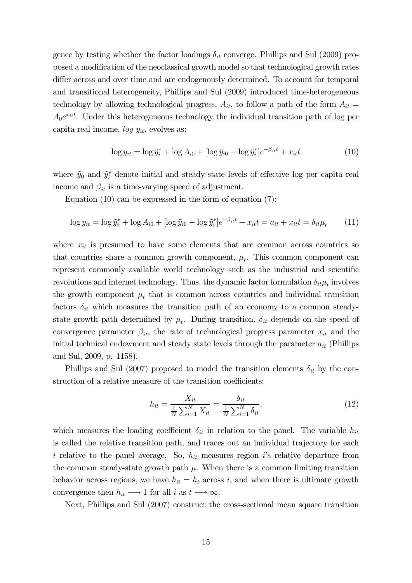gence by testing whether the factor loadings  $\delta_{it}$  converge. Phillips and Sul (2009) proposed a modification of the neoclassical growth model so that technological growth rates differ across and over time and are endogenously determined. To account for temporal and transitional heterogeneity, Phillips and Sul (2009) introduced time-heterogeneous technology by allowing technological progress,  $A_{it}$ , to follow a path of the form  $A_{it}$  $A_0e^{x_{it}t}$ . Under this heterogeneous technology the individual transition path of log per capita real income,  $log y_{it}$ , evolves as:

$$
\log y_{it} = \log \tilde{y}_i^* + \log A_{i0} + [\log \tilde{y}_{i0} - \log \tilde{y}_i^*]e^{-\beta_{it}t} + x_{it}t \tag{10}
$$

where  $\tilde{y}_0$  and  $\tilde{y}_i^*$  denote initial and steady-state levels of effective log per capita real income and  $\beta_{it}$  is a time-varying speed of adjustment.

Equation (10) can be expressed in the form of equation (7):

$$
\log y_{it} = \log \tilde{y}_i^* + \log A_{i0} + [\log \tilde{y}_{i0} - \log \tilde{y}_i^*]e^{-\beta_{it}t} + x_{it}t = a_{it} + x_{it}t = \delta_{it}\mu_t \tag{11}
$$

where  $x_{it}$  is presumed to have some elements that are common across countries so that countries share a common growth component,  $\mu_t$ . This common component can represent commonly available world technology such as the industrial and scientific revolutions and internet technology. Thus, the dynamic factor formulation  $\delta_{it} \mu_t$  involves the growth component  $\mu_t$  that is common across countries and individual transition factors  $\delta_{it}$  which measures the transition path of an economy to a common steadystate growth path determined by  $\mu_t$ . During transition,  $\delta_{it}$  depends on the speed of convergence parameter  $\beta_{it}$ , the rate of technological progress parameter  $x_{it}$  and the initial technical endowment and steady state levels through the parameter  $a_{it}$  (Phillips and Sul, 2009, p. 1158).

Phillips and Sul (2007) proposed to model the transition elements  $\delta_{it}$  by the construction of a relative measure of the transition coefficients:

$$
h_{it} = \frac{X_{it}}{\frac{1}{N} \sum_{i=1}^{N} X_{it}} = \frac{\delta_{it}}{\frac{1}{N} \sum_{i=1}^{N} \delta_{it}},
$$
\n(12)

which measures the loading coefficient  $\delta_{it}$  in relation to the panel. The variable  $h_{it}$ is called the relative transition path, and traces out an individual trajectory for each i relative to the panel average. So,  $h_{it}$  measures region is relative departure from the common steady-state growth path  $\mu$ . When there is a common limiting transition behavior across regions, we have  $h_{it} = h_t$  across i, and when there is ultimate growth convergence then  $h_{it} \longrightarrow 1$  for all  $i$  as  $t \longrightarrow \infty$ .

Next, Phillips and Sul (2007) construct the cross-sectional mean square transition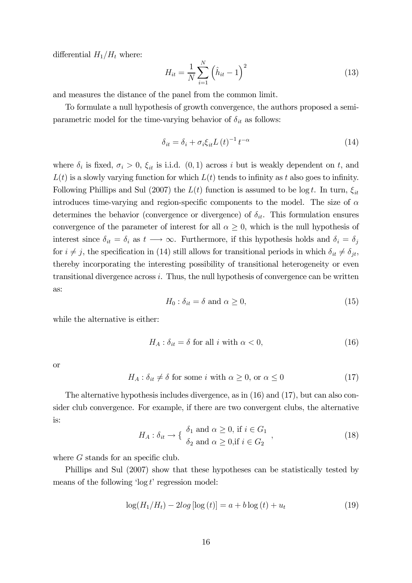differential  $H_1/H_t$  where:

$$
H_{it} = \frac{1}{N} \sum_{i=1}^{N} \left(\hat{h}_{it} - 1\right)^2
$$
 (13)

and measures the distance of the panel from the common limit.

To formulate a null hypothesis of growth convergence, the authors proposed a semiparametric model for the time-varying behavior of  $\delta_{it}$  as follows:

$$
\delta_{it} = \delta_i + \sigma_i \xi_{it} L \left( t \right)^{-1} t^{-\alpha} \tag{14}
$$

where  $\delta_i$  is fixed,  $\sigma_i > 0$ ,  $\xi_{it}$  is i.i.d.  $(0, 1)$  across i but is weakly dependent on t, and  $L(t)$  is a slowly varying function for which  $L(t)$  tends to infinity as t also goes to infinity. Following Phillips and Sul (2007) the  $L(t)$  function is assumed to be log t. In turn,  $\xi_{it}$ introduces time-varying and region-specific components to the model. The size of  $\alpha$ determines the behavior (convergence or divergence) of  $\delta_{it}$ . This formulation ensures convergence of the parameter of interest for all  $\alpha \geq 0$ , which is the null hypothesis of interest since  $\delta_{it} = \delta_i$  as  $t \longrightarrow \infty$ . Furthermore, if this hypothesis holds and  $\delta_i = \delta_j$ for  $i \neq j$ , the specification in (14) still allows for transitional periods in which  $\delta_{it} \neq \delta_{jt}$ , thereby incorporating the interesting possibility of transitional heterogeneity or even transitional divergence across  $i$ . Thus, the null hypothesis of convergence can be written as:

$$
H_0: \delta_{it} = \delta \text{ and } \alpha \ge 0,
$$
\n<sup>(15)</sup>

while the alternative is either:

$$
H_A: \delta_{it} = \delta \text{ for all } i \text{ with } \alpha < 0,\tag{16}
$$

or

$$
H_A: \delta_{it} \neq \delta \text{ for some } i \text{ with } \alpha \ge 0, \text{ or } \alpha \le 0 \tag{17}
$$

The alternative hypothesis includes divergence, as in (16) and (17), but can also consider club convergence. For example, if there are two convergent clubs, the alternative is:

$$
H_A: \delta_{it} \to \left\{ \begin{array}{l} \delta_1 \text{ and } \alpha \ge 0, \text{ if } i \in G_1 \\ \delta_2 \text{ and } \alpha \ge 0, \text{ if } i \in G_2 \end{array} \right., \tag{18}
$$

where  $G$  stands for an specific club.

Phillips and Sul (2007) show that these hypotheses can be statistically tested by means of the following ' $log t$ ' regression model:

$$
\log(H_1/H_t) - 2\log[\log(t)] = a + b\log(t) + u_t \tag{19}
$$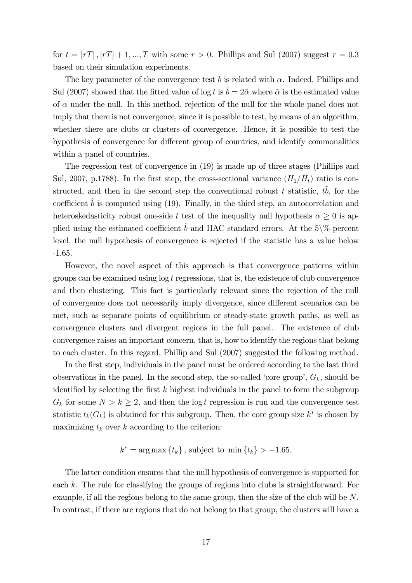for  $t = [rT], [rT] + 1, ..., T$  with some  $r > 0$ . Phillips and Sul (2007) suggest  $r = 0.3$ based on their simulation experiments.

The key parameter of the convergence test  $b$  is related with  $\alpha$ . Indeed, Phillips and Sul (2007) showed that the fitted value of log t is  $\tilde{b} = 2\tilde{\alpha}$  where  $\tilde{\alpha}$  is the estimated value of  $\alpha$  under the null. In this method, rejection of the null for the whole panel does not imply that there is not convergence, since it is possible to test, by means of an algorithm, whether there are clubs or clusters of convergence. Hence, it is possible to test the hypothesis of convergence for different group of countries, and identify commonalities within a panel of countries.

The regression test of convergence in (19) is made up of three stages (Phillips and Sul, 2007, p.1788). In the first step, the cross-sectional variance  $(H_1/H_t)$  ratio is constructed, and then in the second step the conventional robust  $t$  statistic,  $\tilde{tb}$ , for the coefficient  $b$  is computed using  $(19)$ . Finally, in the third step, an autocorrelation and heteroskedasticity robust one-side t test of the inequality null hypothesis  $\alpha \geq 0$  is applied using the estimated coefficient  $\hat{b}$  and HAC standard errors. At the 5\% percent level, the null hypothesis of convergence is rejected if the statistic has a value below -1.65.

However, the novel aspect of this approach is that convergence patterns within groups can be examined using  $\log t$  regressions, that is, the existence of club convergence and then clustering. This fact is particularly relevant since the rejection of the null of convergence does not necessarily imply divergence, since different scenarios can be met, such as separate points of equilibrium or steady-state growth paths, as well as convergence clusters and divergent regions in the full panel. The existence of club convergence raises an important concern, that is, how to identify the regions that belong to each cluster. In this regard, Phillip and Sul (2007) suggested the following method.

In the first step, individuals in the panel must be ordered according to the last third observations in the panel. In the second step, the so-called 'core group',  $G_k$ , should be identified by selecting the first  $k$  highest individuals in the panel to form the subgroup  $G_k$  for some  $N > k \geq 2$ , and then the log t regression is run and the convergence test statistic  $t_k(G_k)$  is obtained for this subgroup. Then, the core group size  $k^*$  is chosen by maximizing  $t_k$  over  $k$  according to the criterion:

$$
k^* = \arg\max\left\{t_k\right\}, \text{ subject to } \min\left\{t_k\right\} > -1.65.
$$

The latter condition ensures that the null hypothesis of convergence is supported for each  $k$ . The rule for classifying the groups of regions into clubs is straightforward. For example, if all the regions belong to the same group, then the size of the club will be  $N$ . In contrast, if there are regions that do not belong to that group, the clusters will have a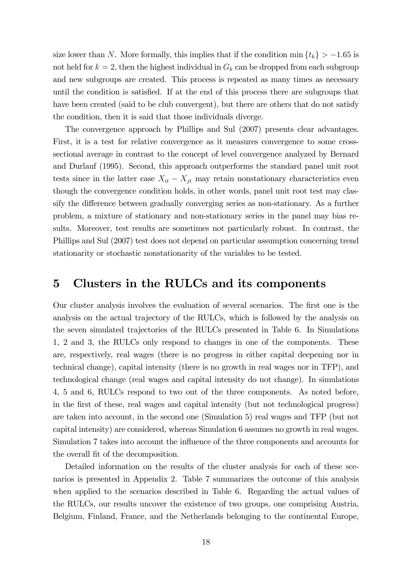size lower than N. More formally, this implies that if the condition min  $\{t_k\} > -1.65$  is not held for  $k = 2$ , then the highest individual in  $G_k$  can be dropped from each subgroup and new subgroups are created. This process is repeated as many times as necessary until the condition is satisfied. If at the end of this process there are subgroups that have been created (said to be club convergent), but there are others that do not satisfy the condition, then it is said that those individuals diverge.

The convergence approach by Phillips and Sul (2007) presents clear advantages. First, it is a test for relative convergence as it measures convergence to some crosssectional average in contrast to the concept of level convergence analyzed by Bernard and Durlauf (1995). Second, this approach outperforms the standard panel unit root tests since in the latter case  $X_{it} - X_{jt}$  may retain nonstationary characteristics even though the convergence condition holds, in other words, panel unit root test may classify the difference between gradually converging series as non-stationary. As a further problem, a mixture of stationary and non-stationary series in the panel may bias results. Moreover, test results are sometimes not particularly robust. In contrast, the Phillips and Sul (2007) test does not depend on particular assumption concerning trend stationarity or stochastic nonstationarity of the variables to be tested.

### 5 Clusters in the RULCs and its components

Our cluster analysis involves the evaluation of several scenarios. The first one is the analysis on the actual trajectory of the RULCs, which is followed by the analysis on the seven simulated trajectories of the RULCs presented in Table 6. In Simulations 1, 2 and 3, the RULCs only respond to changes in one of the components. These are, respectively, real wages (there is no progress in either capital deepening nor in technical change), capital intensity (there is no growth in real wages nor in TFP), and technological change (real wages and capital intensity do not change). In simulations 4, 5 and 6, RULCs respond to two out of the three components. As noted before, in the first of these, real wages and capital intensity (but not technological progress) are taken into account, in the second one (Simulation 5) real wages and TFP (but not capital intensity) are considered, whereas Simulation 6 assumes no growth in real wages. Simulation 7 takes into account the influence of the three components and accounts for the overall fit of the decomposition.

Detailed information on the results of the cluster analysis for each of these scenarios is presented in Appendix 2. Table 7 summarizes the outcome of this analysis when applied to the scenarios described in Table 6. Regarding the actual values of the RULCs, our results uncover the existence of two groups, one comprising Austria, Belgium, Finland, France, and the Netherlands belonging to the continental Europe,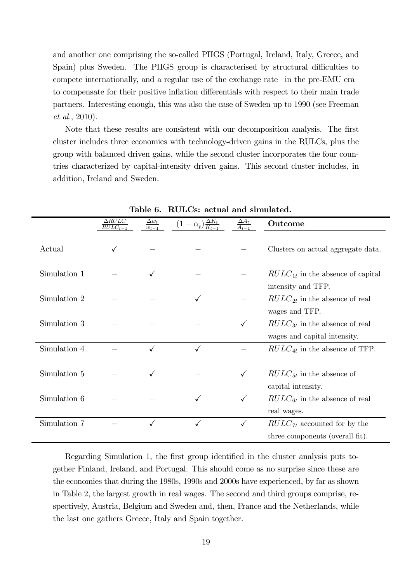and another one comprising the so-called PIIGS (Portugal, Ireland, Italy, Greece, and Spain) plus Sweden. The PIIGS group is characterised by structural difficulties to compete internationally, and a regular use of the exchange rate —in the pre-EMU era to compensate for their positive inflation differentials with respect to their main trade partners. Interesting enough, this was also the case of Sweden up to 1990 (see Freeman et al., 2010).

Note that these results are consistent with our decomposition analysis. The first cluster includes three economies with technology-driven gains in the RULCs, plus the group with balanced driven gains, while the second cluster incorporates the four countries characterized by capital-intensity driven gains. This second cluster includes, in addition, Ireland and Sweden.

|              | $\Delta RULC$<br>$\overline{RULC_{t-1}}$ | $\Delta w_t$<br>$w_{t-1}$ | $(1-\alpha_t)\frac{\Delta K_t}{K_{t-1}}$ | $\frac{\Delta A_t}{A_{t-1}}$ | Outcome                               |  |  |
|--------------|------------------------------------------|---------------------------|------------------------------------------|------------------------------|---------------------------------------|--|--|
| Actual       | √                                        |                           |                                          |                              | Clusters on actual aggregate data.    |  |  |
| Simulation 1 |                                          | $\checkmark$              |                                          |                              | $RULC_{1t}$ in the absence of capital |  |  |
|              |                                          |                           |                                          |                              | intensity and TFP.                    |  |  |
| Simulation 2 |                                          |                           | ✓                                        |                              | $RULC_{2t}$ in the absence of real    |  |  |
|              |                                          |                           |                                          |                              | wages and TFP.                        |  |  |
| Simulation 3 |                                          |                           |                                          | $\checkmark$                 | $RULC_{3t}$ in the absence of real    |  |  |
|              |                                          |                           |                                          |                              | wages and capital intensity.          |  |  |
| Simulation 4 |                                          |                           | $\checkmark$                             |                              | $RULC_{4t}$ in the absence of TFP.    |  |  |
|              |                                          |                           |                                          |                              |                                       |  |  |
| Simulation 5 |                                          |                           |                                          | ✓                            | $RULC_{5t}$ in the absence of         |  |  |
|              |                                          |                           |                                          |                              | capital intensity.                    |  |  |
| Simulation 6 |                                          |                           | $\checkmark$                             | $\checkmark$                 | $RULC_{6t}$ in the absence of real    |  |  |
|              |                                          |                           |                                          |                              | real wages.                           |  |  |
| Simulation 7 |                                          |                           | √                                        | ✓                            | $RULC_{7t}$ accounted for by the      |  |  |
|              |                                          |                           |                                          |                              | three components (overall fit).       |  |  |

Table 6. RULCs: actual and simulated

Regarding Simulation 1, the first group identified in the cluster analysis puts together Finland, Ireland, and Portugal. This should come as no surprise since these are the economies that during the 1980s, 1990s and 2000s have experienced, by far as shown in Table 2, the largest growth in real wages. The second and third groups comprise, respectively, Austria, Belgium and Sweden and, then, France and the Netherlands, while the last one gathers Greece, Italy and Spain together.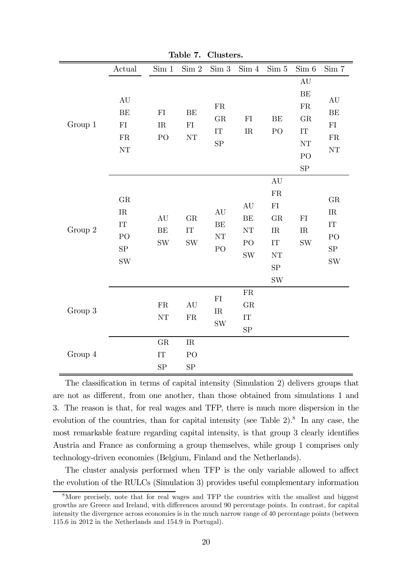|         | Actual                                                                                                             | Sim 1                                                 | $\rm{Sim}$ $2$                                            | Sim 3                                                    | Sim 4                                                          | Sim 5                                                                                                                | Sim 6                                                                           | Sim 7                                                                                                          |
|---------|--------------------------------------------------------------------------------------------------------------------|-------------------------------------------------------|-----------------------------------------------------------|----------------------------------------------------------|----------------------------------------------------------------|----------------------------------------------------------------------------------------------------------------------|---------------------------------------------------------------------------------|----------------------------------------------------------------------------------------------------------------|
| Group 1 | $\mathrm{AU}$<br>BE<br>${\rm FI}$<br>${\rm FR}$<br>${\rm NT}$                                                      | ${\rm FI}$<br>$\ensuremath{\mathsf{IR}}\xspace$<br>PO | BE<br>FI<br>$\rm{NT}$                                     | ${\rm FR}$<br>${\rm GR}$<br>IT<br>${\rm SP}$             | ${\rm FI}$<br>IR                                               | BE<br>PO                                                                                                             | $\mathrm{AU}$<br>BE<br>${\rm FR}$<br>GR<br>IT<br>${\rm NT}$<br>PO<br>${\rm SP}$ | $\mathrm{AU}$<br>BE<br>${\rm FI}$<br>${\rm FR}$<br>${\rm NT}$                                                  |
| Group 2 | ${\rm GR}$<br>$\ensuremath{\mathsf{IR}}\xspace$<br>$\ensuremath{\mathsf{IT}}$<br>PO<br>${\rm SP}$<br>$\mathrm{SW}$ | $\mathrm{AU}$<br>$\rm BE$<br>$\mathrm{SW}$            | ${\rm GR}$<br>$\mathop{\mathrm{IT}}$<br>$\mathrm{SW}$     | AU<br>BE<br>NT<br>PO                                     | $\mathrm{AU}$<br>$\rm BE$<br>${\rm NT}$<br>PO<br>$\mathrm{SW}$ | AU<br>${\rm FR}$<br>FI<br>${\rm GR}$<br>$\ensuremath{\mathsf{IR}}\xspace$<br>IT<br>NT<br>${\rm SP}$<br>$\mathrm{SW}$ | ${\rm FI}$<br>$\ensuremath{\mathsf{IR}}\xspace$<br><b>SW</b>                    | ${\rm GR}$<br>$\ensuremath{\mathsf{IR}}\xspace$<br>$\mathop{\mathrm{IT}}$<br>PO<br>${\rm SP}$<br>$\mathrm{SW}$ |
| Group 3 |                                                                                                                    | ${\rm FR}$<br>${\rm NT}$                              | AU<br>${\rm FR}$                                          | FI<br>$\ensuremath{\mathsf{IR}}\xspace$<br>$\mathrm{SW}$ | ${\rm FR}$<br>${\rm GR}$<br>$\ensuremath{\mathsf{IT}}$<br>SP   |                                                                                                                      |                                                                                 |                                                                                                                |
| Group 4 |                                                                                                                    | ${\rm GR}$<br>IT<br>SP                                | $\ensuremath{\mathsf{IR}}\xspace$<br>P <sub>O</sub><br>SP |                                                          |                                                                |                                                                                                                      |                                                                                 |                                                                                                                |

Table 7. Clusters.

The classification in terms of capital intensity (Simulation 2) delivers groups that are not as different, from one another, than those obtained from simulations 1 and 3. The reason is that, for real wages and TFP, there is much more dispersion in the evolution of the countries, than for capital intensity (see Table  $2$ ).<sup>8</sup> In any case, the most remarkable feature regarding capital intensity, is that group 3 clearly identifies Austria and France as conforming a group themselves, while group 1 comprises only technology-driven economies (Belgium, Finland and the Netherlands).

The cluster analysis performed when TFP is the only variable allowed to affect the evolution of the RULCs (Simulation 3) provides useful complementary information

<sup>8</sup>More precisely, note that for real wages and TFP the countries with the smallest and biggest growths are Greece and Ireland, with differences around 90 percentage points. In contrast, for capital intensity the divergence across economies is in the much narrow range of 40 percentage points (between 115.6 in 2012 in the Netherlands and 154.9 in Portugal).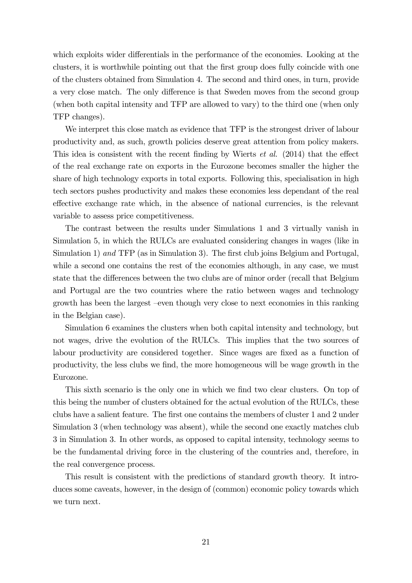which exploits wider differentials in the performance of the economies. Looking at the clusters, it is worthwhile pointing out that the first group does fully coincide with one of the clusters obtained from Simulation 4. The second and third ones, in turn, provide a very close match. The only difference is that Sweden moves from the second group (when both capital intensity and TFP are allowed to vary) to the third one (when only TFP changes).

We interpret this close match as evidence that TFP is the strongest driver of labour productivity and, as such, growth policies deserve great attention from policy makers. This idea is consistent with the recent finding by Wierts  $et \ al.$  (2014) that the effect of the real exchange rate on exports in the Eurozone becomes smaller the higher the share of high technology exports in total exports. Following this, specialisation in high tech sectors pushes productivity and makes these economies less dependant of the real effective exchange rate which, in the absence of national currencies, is the relevant variable to assess price competitiveness.

The contrast between the results under Simulations 1 and 3 virtually vanish in Simulation 5, in which the RULCs are evaluated considering changes in wages (like in Simulation 1) and TFP (as in Simulation 3). The first club joins Belgium and Portugal, while a second one contains the rest of the economies although, in any case, we must state that the differences between the two clubs are of minor order (recall that Belgium and Portugal are the two countries where the ratio between wages and technology growth has been the largest —even though very close to next economies in this ranking in the Belgian case).

Simulation 6 examines the clusters when both capital intensity and technology, but not wages, drive the evolution of the RULCs. This implies that the two sources of labour productivity are considered together. Since wages are fixed as a function of productivity, the less clubs we find, the more homogeneous will be wage growth in the Eurozone.

This sixth scenario is the only one in which we find two clear clusters. On top of this being the number of clusters obtained for the actual evolution of the RULCs, these clubs have a salient feature. The first one contains the members of cluster 1 and 2 under Simulation 3 (when technology was absent), while the second one exactly matches club 3 in Simulation 3. In other words, as opposed to capital intensity, technology seems to be the fundamental driving force in the clustering of the countries and, therefore, in the real convergence process.

This result is consistent with the predictions of standard growth theory. It introduces some caveats, however, in the design of (common) economic policy towards which we turn next.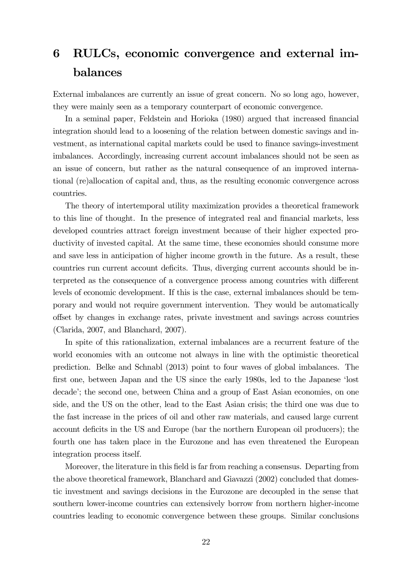# 6 RULCs, economic convergence and external imbalances

External imbalances are currently an issue of great concern. No so long ago, however, they were mainly seen as a temporary counterpart of economic convergence.

In a seminal paper, Feldstein and Horioka (1980) argued that increased financial integration should lead to a loosening of the relation between domestic savings and investment, as international capital markets could be used to finance savings-investment imbalances. Accordingly, increasing current account imbalances should not be seen as an issue of concern, but rather as the natural consequence of an improved international (re)allocation of capital and, thus, as the resulting economic convergence across countries.

The theory of intertemporal utility maximization provides a theoretical framework to this line of thought. In the presence of integrated real and financial markets, less developed countries attract foreign investment because of their higher expected productivity of invested capital. At the same time, these economies should consume more and save less in anticipation of higher income growth in the future. As a result, these countries run current account deficits. Thus, diverging current accounts should be interpreted as the consequence of a convergence process among countries with different levels of economic development. If this is the case, external imbalances should be temporary and would not require government intervention. They would be automatically offset by changes in exchange rates, private investment and savings across countries (Clarida, 2007, and Blanchard, 2007).

In spite of this rationalization, external imbalances are a recurrent feature of the world economies with an outcome not always in line with the optimistic theoretical prediction. Belke and Schnabl (2013) point to four waves of global imbalances. The first one, between Japan and the US since the early 1980s, led to the Japanese 'lost decade'; the second one, between China and a group of East Asian economies, on one side, and the US on the other, lead to the East Asian crisis; the third one was due to the fast increase in the prices of oil and other raw materials, and caused large current account deficits in the US and Europe (bar the northern European oil producers); the fourth one has taken place in the Eurozone and has even threatened the European integration process itself.

Moreover, the literature in this field is far from reaching a consensus. Departing from the above theoretical framework, Blanchard and Giavazzi (2002) concluded that domestic investment and savings decisions in the Eurozone are decoupled in the sense that southern lower-income countries can extensively borrow from northern higher-income countries leading to economic convergence between these groups. Similar conclusions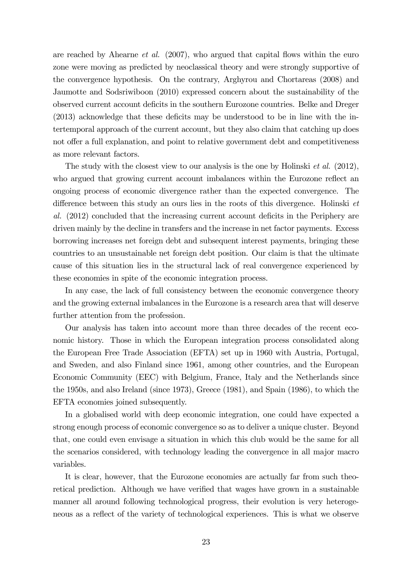are reached by Ahearne et al. (2007), who argued that capital flows within the euro zone were moving as predicted by neoclassical theory and were strongly supportive of the convergence hypothesis. On the contrary, Arghyrou and Chortareas (2008) and Jaumotte and Sodsriwiboon (2010) expressed concern about the sustainability of the observed current account deficits in the southern Eurozone countries. Belke and Dreger (2013) acknowledge that these deficits may be understood to be in line with the intertemporal approach of the current account, but they also claim that catching up does not offer a full explanation, and point to relative government debt and competitiveness as more relevant factors.

The study with the closest view to our analysis is the one by Holinski *et al.* (2012), who argued that growing current account imbalances within the Eurozone reflect an ongoing process of economic divergence rather than the expected convergence. The difference between this study an ours lies in the roots of this divergence. Holinski et al. (2012) concluded that the increasing current account deficits in the Periphery are driven mainly by the decline in transfers and the increase in net factor payments. Excess borrowing increases net foreign debt and subsequent interest payments, bringing these countries to an unsustainable net foreign debt position. Our claim is that the ultimate cause of this situation lies in the structural lack of real convergence experienced by these economies in spite of the economic integration process.

In any case, the lack of full consistency between the economic convergence theory and the growing external imbalances in the Eurozone is a research area that will deserve further attention from the profession.

Our analysis has taken into account more than three decades of the recent economic history. Those in which the European integration process consolidated along the European Free Trade Association (EFTA) set up in 1960 with Austria, Portugal, and Sweden, and also Finland since 1961, among other countries, and the European Economic Community (EEC) with Belgium, France, Italy and the Netherlands since the 1950s, and also Ireland (since 1973), Greece (1981), and Spain (1986), to which the EFTA economies joined subsequently.

In a globalised world with deep economic integration, one could have expected a strong enough process of economic convergence so as to deliver a unique cluster. Beyond that, one could even envisage a situation in which this club would be the same for all the scenarios considered, with technology leading the convergence in all major macro variables.

It is clear, however, that the Eurozone economies are actually far from such theoretical prediction. Although we have verified that wages have grown in a sustainable manner all around following technological progress, their evolution is very heterogeneous as a reflect of the variety of technological experiences. This is what we observe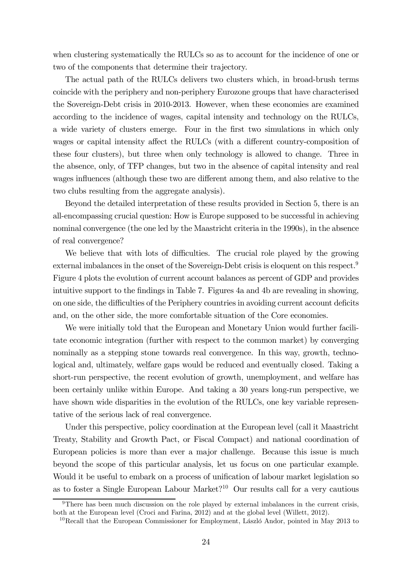when clustering systematically the RULCs so as to account for the incidence of one or two of the components that determine their trajectory.

The actual path of the RULCs delivers two clusters which, in broad-brush terms coincide with the periphery and non-periphery Eurozone groups that have characterised the Sovereign-Debt crisis in 2010-2013. However, when these economies are examined according to the incidence of wages, capital intensity and technology on the RULCs, a wide variety of clusters emerge. Four in the first two simulations in which only wages or capital intensity affect the RULCs (with a different country-composition of these four clusters), but three when only technology is allowed to change. Three in the absence, only, of TFP changes, but two in the absence of capital intensity and real wages influences (although these two are different among them, and also relative to the two clubs resulting from the aggregate analysis).

Beyond the detailed interpretation of these results provided in Section 5, there is an all-encompassing crucial question: How is Europe supposed to be successful in achieving nominal convergence (the one led by the Maastricht criteria in the 1990s), in the absence of real convergence?

We believe that with lots of difficulties. The crucial role played by the growing external imbalances in the onset of the Sovereign-Debt crisis is eloquent on this respect.9 Figure 4 plots the evolution of current account balances as percent of GDP and provides intuitive support to the findings in Table 7. Figures 4a and 4b are revealing in showing, on one side, the difficulties of the Periphery countries in avoiding current account deficits and, on the other side, the more comfortable situation of the Core economies.

We were initially told that the European and Monetary Union would further facilitate economic integration (further with respect to the common market) by converging nominally as a stepping stone towards real convergence. In this way, growth, technological and, ultimately, welfare gaps would be reduced and eventually closed. Taking a short-run perspective, the recent evolution of growth, unemployment, and welfare has been certainly unlike within Europe. And taking a 30 years long-run perspective, we have shown wide disparities in the evolution of the RULCs, one key variable representative of the serious lack of real convergence.

Under this perspective, policy coordination at the European level (call it Maastricht Treaty, Stability and Growth Pact, or Fiscal Compact) and national coordination of European policies is more than ever a major challenge. Because this issue is much beyond the scope of this particular analysis, let us focus on one particular example. Would it be useful to embark on a process of unification of labour market legislation so as to foster a Single European Labour Market?10 Our results call for a very cautious

<sup>&</sup>lt;sup>9</sup>There has been much discussion on the role played by external imbalances in the current crisis, both at the European level (Croci and Farina, 2012) and at the global level (Willett, 2012).

<sup>10</sup>Recall that the European Commissioner for Employment, László Andor, pointed in May 2013 to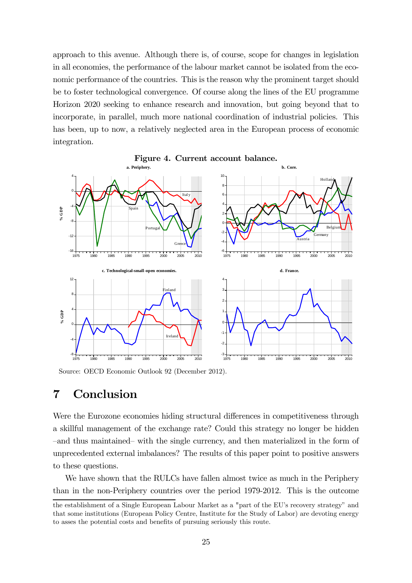approach to this avenue. Although there is, of course, scope for changes in legislation in all economies, the performance of the labour market cannot be isolated from the economic performance of the countries. This is the reason why the prominent target should be to foster technological convergence. Of course along the lines of the EU programme Horizon 2020 seeking to enhance research and innovation, but going beyond that to incorporate, in parallel, much more national coordination of industrial policies. This has been, up to now, a relatively neglected area in the European process of economic integration.



Source: OECD Economic Outlook 92 (December 2012).

### 7 Conclusion

Were the Eurozone economies hiding structural differences in competitiveness through a skillful management of the exchange rate? Could this strategy no longer be hidden —and thus maintained— with the single currency, and then materialized in the form of unprecedented external imbalances? The results of this paper point to positive answers to these questions.

We have shown that the RULCs have fallen almost twice as much in the Periphery than in the non-Periphery countries over the period 1979-2012. This is the outcome

the establishment of a Single European Labour Market as a "part of the EU's recovery strategy" and that some institutions (European Policy Centre, Institute for the Study of Labor) are devoting energy to asses the potential costs and benefits of pursuing seriously this route.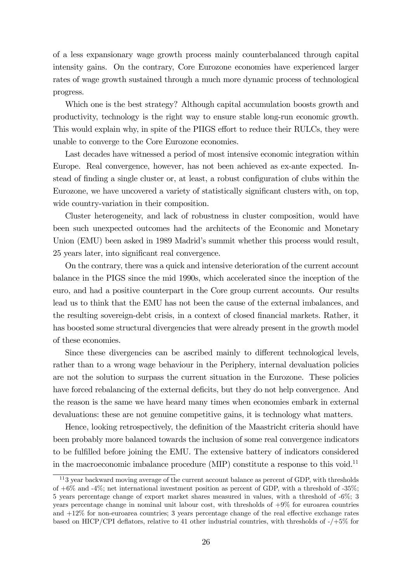of a less expansionary wage growth process mainly counterbalanced through capital intensity gains. On the contrary, Core Eurozone economies have experienced larger rates of wage growth sustained through a much more dynamic process of technological progress.

Which one is the best strategy? Although capital accumulation boosts growth and productivity, technology is the right way to ensure stable long-run economic growth. This would explain why, in spite of the PIIGS effort to reduce their RULCs, they were unable to converge to the Core Eurozone economies.

Last decades have witnessed a period of most intensive economic integration within Europe. Real convergence, however, has not been achieved as ex-ante expected. Instead of finding a single cluster or, at least, a robust configuration of clubs within the Eurozone, we have uncovered a variety of statistically significant clusters with, on top, wide country-variation in their composition.

Cluster heterogeneity, and lack of robustness in cluster composition, would have been such unexpected outcomes had the architects of the Economic and Monetary Union (EMU) been asked in 1989 Madrid's summit whether this process would result, 25 years later, into significant real convergence.

On the contrary, there was a quick and intensive deterioration of the current account balance in the PIGS since the mid 1990s, which accelerated since the inception of the euro, and had a positive counterpart in the Core group current accounts. Our results lead us to think that the EMU has not been the cause of the external imbalances, and the resulting sovereign-debt crisis, in a context of closed financial markets. Rather, it has boosted some structural divergencies that were already present in the growth model of these economies.

Since these divergencies can be ascribed mainly to different technological levels, rather than to a wrong wage behaviour in the Periphery, internal devaluation policies are not the solution to surpass the current situation in the Eurozone. These policies have forced rebalancing of the external deficits, but they do not help convergence. And the reason is the same we have heard many times when economies embark in external devaluations: these are not genuine competitive gains, it is technology what matters.

Hence, looking retrospectively, the definition of the Maastricht criteria should have been probably more balanced towards the inclusion of some real convergence indicators to be fulfilled before joining the EMU. The extensive battery of indicators considered in the macroeconomic imbalance procedure  $(MIP)$  constitute a response to this void.<sup>11</sup>

<sup>&</sup>lt;sup>11</sup>3 year backward moving average of the current account balance as percent of GDP, with thresholds of  $+6\%$  and  $-4\%$ ; net international investment position as percent of GDP, with a threshold of  $-35\%$ ; 5 years percentage change of export market shares measured in values, with a threshold of -6%; 3 years percentage change in nominal unit labour cost, with thresholds of +9% for euroarea countries and +12% for non-euroarea countries; 3 years percentage change of the real effective exchange rates based on HICP/CPI deflators, relative to 41 other industrial countries, with thresholds of  $-\prime$ +5% for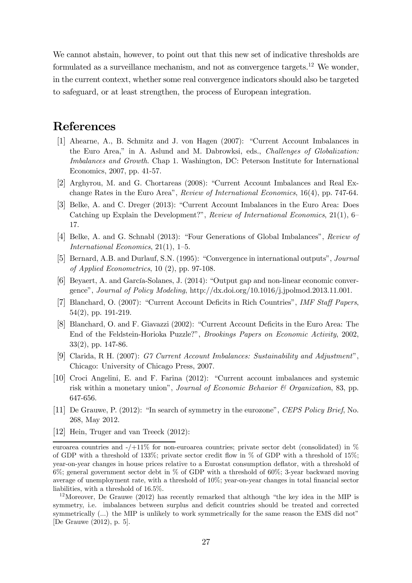We cannot abstain, however, to point out that this new set of indicative thresholds are formulated as a surveillance mechanism, and not as convergence targets.12 We wonder, in the current context, whether some real convergence indicators should also be targeted to safeguard, or at least strengthen, the process of European integration.

### References

- [1] Ahearne, A., B. Schmitz and J. von Hagen (2007): "Current Account Imbalances in the Euro Area," in A. Aslund and M. Dabrowksi, eds., Challenges of Globalization: Imbalances and Growth. Chap 1. Washington, DC: Peterson Institute for International Economics, 2007, pp. 41-57.
- [2] Arghyrou, M. and G. Chortareas (2008): "Current Account Imbalances and Real Exchange Rates in the Euro Area", Review of International Economics, 16(4), pp. 747-64.
- [3] Belke, A. and C. Dreger (2013): "Current Account Imbalances in the Euro Area: Does Catching up Explain the Development?", Review of International Economics, 21(1), 6— 17.
- [4] Belke, A. and G. Schnabl (2013): "Four Generations of Global Imbalances", Review of International Economics, 21(1), 1—5.
- [5] Bernard, A.B. and Durlauf, S.N. (1995): "Convergence in international outputs", Journal of Applied Econometrics, 10 (2), pp. 97-108.
- [6] Beyaert, A. and García-Solanes, J. (2014): "Output gap and non-linear economic convergence", Journal of Policy Modeling, http://dx.doi.org/10.1016/j.jpolmod.2013.11.001.
- [7] Blanchard, O. (2007): "Current Account Deficits in Rich Countries", IMF Staff Papers, 54(2), pp. 191-219.
- [8] Blanchard, O. and F. Giavazzi (2002): "Current Account Deficits in the Euro Area: The End of the Feldstein-Horioka Puzzle?", Brookings Papers on Economic Activity, 2002, 33(2), pp. 147-86.
- [9] Clarida, R H. (2007): G7 Current Account Imbalances: Sustainability and Adjustment", Chicago: University of Chicago Press, 2007.
- [10] Croci Angelini, E. and F. Farina (2012): "Current account imbalances and systemic risk within a monetary union", Journal of Economic Behavior & Organization, 83, pp. 647-656.
- [11] De Grauwe, P. (2012): "In search of symmetry in the eurozone", CEPS Policy Brief, No. 268, May 2012.
- [12] Hein, Truger and van Treeck (2012):

euroarea countries and  $-$ /+11% for non-euroarea countries; private sector debt (consolidated) in % of GDP with a threshold of 133%; private sector credit flow in % of GDP with a threshold of 15%; year-on-year changes in house prices relative to a Eurostat consumption deflator, with a threshold of 6%; general government sector debt in % of GDP with a threshold of 60%; 3-year backward moving average of unemployment rate, with a threshold of 10%; year-on-year changes in total financial sector liabilities, with a threshold of 16.5%.

<sup>12</sup>Moreover, De Grauwe (2012) has recently remarked that although "the key idea in the MIP is symmetry, i.e. imbalances between surplus and deficit countries should be treated and corrected symmetrically  $(...)$  the MIP is unlikely to work symmetrically for the same reason the EMS did not" [De Grauwe (2012), p. 5].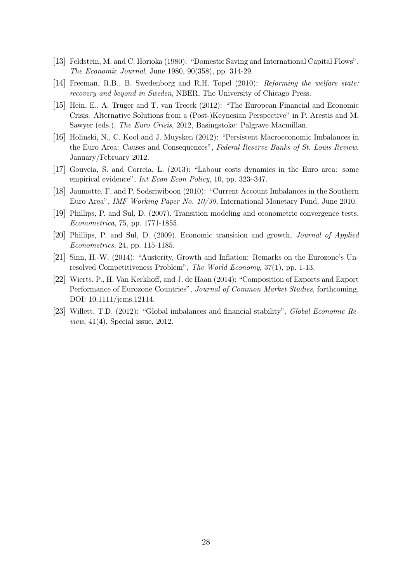- [13] Feldstein, M. and C. Horioka (1980): "Domestic Saving and International Capital Flows", The Economic Journal, June 1980, 90(358), pp. 314-29.
- [14] Freeman, R.B., B. Swedenborg and R.H. Topel (2010): Reforming the welfare state: recovery and beyond in Sweden, NBER, The University of Chicago Press.
- [15] Hein, E., A. Truger and T. van Treeck (2012): "The European Financial and Economic Crisis: Alternative Solutions from a (Post-)Keynesian Perspective" in P. Arestis and M. Sawyer (eds.), The Euro Crisis, 2012, Basingstoke: Palgrave Macmillan.
- [16] Holinski, N., C. Kool and J. Muysken (2012): "Persistent Macroeconomic Imbalances in the Euro Area: Causes and Consequences", Federal Reserve Banks of St. Louis Review, January/February 2012.
- [17] Gouveia, S. and Correia, L. (2013): "Labour costs dynamics in the Euro area: some empirical evidence", Int Econ Econ Policy, 10, pp. 323—347.
- [18] Jaumotte, F. and P. Sodsriwiboon (2010): "Current Account Imbalances in the Southern Euro Area", IMF Working Paper No. 10/39, International Monetary Fund, June 2010.
- [19] Phillips, P. and Sul, D. (2007). Transition modeling and econometric convergence tests, Econometrica, 75, pp. 1771-1855.
- [20] Phillips, P. and Sul, D. (2009). Economic transition and growth, Journal of Applied Econometrics, 24, pp. 115-1185.
- [21] Sinn, H.-W. (2014): "Austerity, Growth and Inflation: Remarks on the Eurozone's Unresolved Competitiveness Problem", The World Economy, 37(1), pp. 1-13.
- [22] Wierts, P., H. Van Kerkhoff, and J. de Haan (2014): "Composition of Exports and Export Performance of Eurozone Countries", Journal of Common Market Studies, forthcoming, DOI: 10.1111/jcms.12114.
- [23] Willett, T.D. (2012): "Global imbalances and financial stability", Global Economic Re*view*,  $41(4)$ , Special issue, 2012.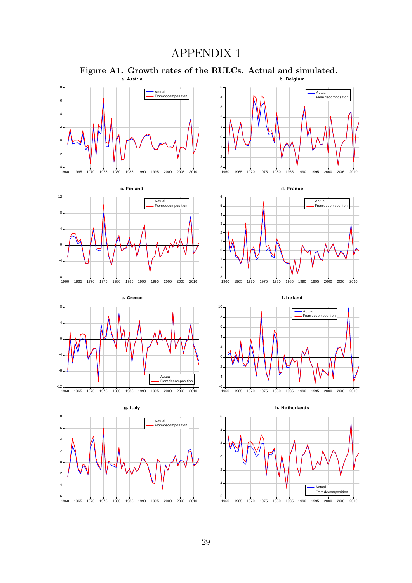# APPENDIX 1

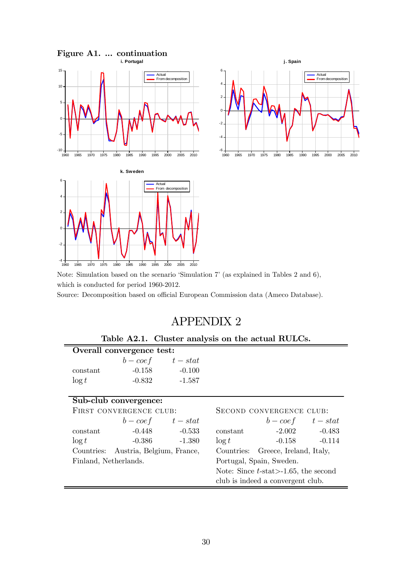





Note: Simulation based on the scenario 'Simulation 7' (as explained in Tables 2 and 6), which is conducted for period 1960-2012.

Source: Decomposition based on official European Commission data (Ameco Database).

# APPENDIX 2

|                       | Table A2.1. Cluster analysis on the actual RULCs. |          |            |                          |          |  |  |  |
|-----------------------|---------------------------------------------------|----------|------------|--------------------------|----------|--|--|--|
|                       | Overall convergence test:                         |          |            |                          |          |  |  |  |
|                       | $b - coef$ $t - stat$                             |          |            |                          |          |  |  |  |
| constant              | $-0.158$                                          | $-0.100$ |            |                          |          |  |  |  |
| $\log t$              | $-0.832$                                          | -1.587   |            |                          |          |  |  |  |
|                       |                                                   |          |            |                          |          |  |  |  |
| Sub-club convergence: |                                                   |          |            |                          |          |  |  |  |
|                       | FIRST CONVERGENCE CLUB:                           |          |            | SECOND CONVERGENCE CLUB: |          |  |  |  |
|                       | $b - coef$ $t - stat$                             |          |            | $b - coef$ $t - stat$    |          |  |  |  |
| constant              | $-0.448$                                          | $-0.533$ | constant   | $-2.002$                 | $-0.483$ |  |  |  |
| $\log t$              | $-0.386$                                          | $-1.380$ | $\log t$   | $-0.158$                 | $-0.114$ |  |  |  |
| Countries:            | Austria, Belgium, France,                         |          | Countries: | Greece, Ireland, Italy,  |          |  |  |  |
| Finland, Netherlands. |                                                   |          |            | Portugal, Spain, Sweden. |          |  |  |  |
|                       | Note: Since $t$ -stat $>$ -1.65, the second       |          |            |                          |          |  |  |  |
|                       | club is indeed a convergent club.                 |          |            |                          |          |  |  |  |
|                       |                                                   |          |            |                          |          |  |  |  |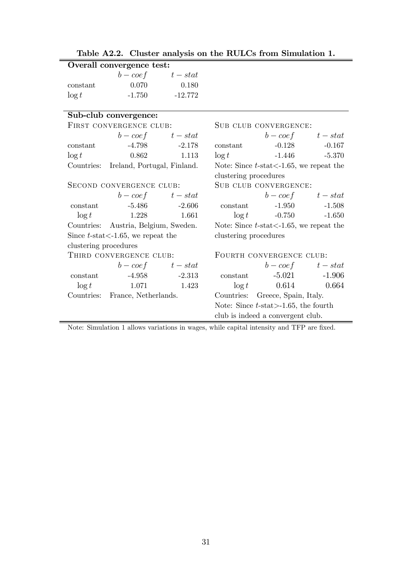|                          | Overall convergence test:                  |                    |                                                |                                                  |          |
|--------------------------|--------------------------------------------|--------------------|------------------------------------------------|--------------------------------------------------|----------|
|                          | $b - coef$ $t - stat$                      |                    |                                                |                                                  |          |
| constant                 | 0.070                                      | 0.180              |                                                |                                                  |          |
| $\log t$                 |                                            | $-1.750$ $-12.772$ |                                                |                                                  |          |
|                          |                                            |                    |                                                |                                                  |          |
|                          | Sub-club convergence:                      |                    |                                                |                                                  |          |
| FIRST CONVERGENCE CLUB:  |                                            |                    |                                                | SUB CLUB CONVERGENCE:                            |          |
|                          | $b - coef$ $t - stat$                      |                    |                                                | $b - coef$ $t - stat$                            |          |
| constant                 | $-4.798$                                   | $-2.178$           | constant                                       | $-0.128$                                         | $-0.167$ |
| $\log t$                 | $0.862$ 1.113                              |                    | $\log t$                                       | $-1.446$                                         | $-5.370$ |
| Countries:               | Ireland, Portugal, Finland.                |                    | Note: Since $t$ -stat $<$ -1.65, we repeat the |                                                  |          |
|                          |                                            |                    | clustering procedures                          |                                                  |          |
| SECOND CONVERGENCE CLUB: |                                            |                    |                                                | SUB CLUB CONVERGENCE:                            |          |
|                          | $b - coef$ $t - stat$                      |                    |                                                | $b - coef$ $t - stat$                            |          |
| constant                 | $-5.486$                                   | $-2.606$           | constant                                       | $-1.950$                                         | $-1.508$ |
| $\log t$                 | 1.228                                      | 1.661              | $\log t$                                       | $-0.750$                                         | $-1.650$ |
|                          | Countries: Austria, Belgium, Sweden.       |                    |                                                | Note: Since $t$ -stat $\lt$ -1.65, we repeat the |          |
|                          | Since $t$ -stat $\lt$ -1.65, we repeat the |                    | clustering procedures                          |                                                  |          |
| clustering procedures    |                                            |                    |                                                |                                                  |          |
|                          | THIRD CONVERGENCE CLUB:                    |                    |                                                | FOURTH CONVERGENCE CLUB:                         |          |
|                          | $b - coef$ $t - stat$                      |                    |                                                | $b - coef$ $t - stat$                            |          |
| constant                 | $-4.958$                                   | $-2.313$           | constant                                       | $-5.021$                                         | $-1.906$ |
| $\log t$                 | 1.071 1.423                                |                    | $\log t$                                       | $0.614$ 0.664                                    |          |
|                          | Countries: France, Netherlands.            |                    |                                                | Countries: Greece, Spain, Italy.                 |          |
|                          |                                            |                    |                                                | Note: Since $t$ -stat $>$ -1.65, the fourth      |          |
|                          |                                            |                    |                                                | club is indeed a convergent club.                |          |

| Table A2.2. Cluster analysis on the RULCs from Simulation 1. |  |  |  |  |  |  |
|--------------------------------------------------------------|--|--|--|--|--|--|
|--------------------------------------------------------------|--|--|--|--|--|--|

Note: Simulation 1 allows variations in wages, while capital intensity and TFP are fixed.

=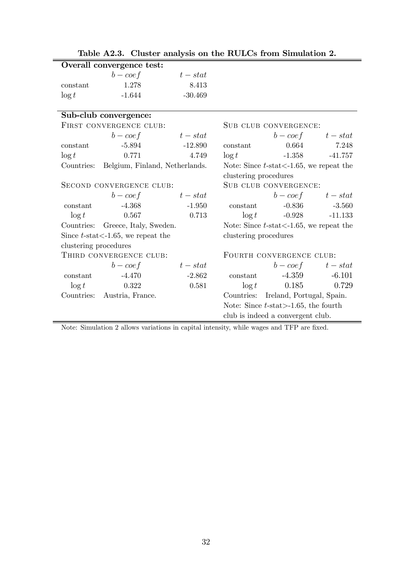|                          | Overall convergence test:                  |            |                                                  |                                                  |                       |  |  |
|--------------------------|--------------------------------------------|------------|--------------------------------------------------|--------------------------------------------------|-----------------------|--|--|
|                          | $b - coef$                                 | $t - stat$ |                                                  |                                                  |                       |  |  |
| constant                 | 1.278                                      | 8.413      |                                                  |                                                  |                       |  |  |
| $\log t$                 | $-1.644$                                   | $-30.469$  |                                                  |                                                  |                       |  |  |
|                          |                                            |            |                                                  |                                                  |                       |  |  |
|                          | Sub-club convergence:                      |            |                                                  |                                                  |                       |  |  |
|                          | FIRST CONVERGENCE CLUB:                    |            |                                                  | SUB CLUB CONVERGENCE:                            |                       |  |  |
|                          | $b - coef$ $t - stat$                      |            |                                                  |                                                  | $b - coef$ $t - stat$ |  |  |
| constant                 | $-5.894$                                   | $-12.890$  | constant                                         | 0.664                                            | 7.248                 |  |  |
| $\log t$                 | 0.771                                      | 4.749      | $\log t$                                         | $-1.358$                                         | $-41.757$             |  |  |
| Countries:               | Belgium, Finland, Netherlands.             |            | Note: Since $t$ -stat $\lt$ -1.65, we repeat the |                                                  |                       |  |  |
|                          |                                            |            |                                                  | clustering procedures                            |                       |  |  |
| SECOND CONVERGENCE CLUB: |                                            |            |                                                  | SUB CLUB CONVERGENCE:                            |                       |  |  |
|                          | $b - coef$ $t - stat$                      |            |                                                  |                                                  | $b - coef$ $t - stat$ |  |  |
| constant                 | $-4.368$                                   | $-1.950$   | constant                                         | $-0.836$                                         | $-3.560$              |  |  |
| $\log t$                 | 0.567                                      | 0.713      | $\log t$                                         |                                                  | $-0.928$ $-11.133$    |  |  |
|                          | Countries: Greece, Italy, Sweden.          |            |                                                  | Note: Since $t$ -stat $\lt$ -1.65, we repeat the |                       |  |  |
|                          | Since $t$ -stat $\lt$ -1.65, we repeat the |            | clustering procedures                            |                                                  |                       |  |  |
| clustering procedures    |                                            |            |                                                  |                                                  |                       |  |  |
|                          | THIRD CONVERGENCE CLUB:                    |            |                                                  | FOURTH CONVERGENCE CLUB:                         |                       |  |  |
|                          | $b - coef$                                 | $t - stat$ |                                                  |                                                  | $b - coef$ $t - stat$ |  |  |
| constant                 | $-4.470$                                   | $-2.862$   | constant                                         | $-4.359$                                         | $-6.101$              |  |  |
| $\log t$                 | 0.322                                      | 0.581      |                                                  | $\log t$<br>0.185                                | 0.729                 |  |  |
|                          | Countries: Austria, France.                |            |                                                  | Countries: Ireland, Portugal, Spain.             |                       |  |  |
|                          |                                            |            |                                                  | Note: Since $t$ -stat > -1.65, the fourth        |                       |  |  |
|                          |                                            |            |                                                  | club is indeed a convergent club.                |                       |  |  |

Table A2.3. Cluster analysis on the RULCs from Simulation 2.

Note: Simulation 2 allows variations in capital intensity, while wages and TFP are fixed.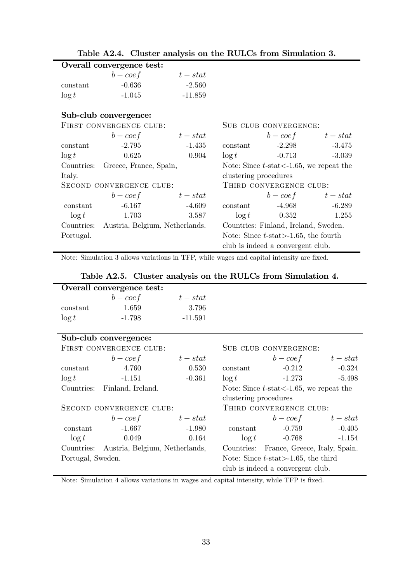|            | Overall convergence test:                 |                       |                                             |                                                  |                   |  |
|------------|-------------------------------------------|-----------------------|---------------------------------------------|--------------------------------------------------|-------------------|--|
|            | $b - coef$                                | $t - stat$            |                                             |                                                  |                   |  |
| constant   | $-0.636$                                  | $-2.560$              |                                             |                                                  |                   |  |
| $\log t$   | $-1.045$                                  | $-11.859$             |                                             |                                                  |                   |  |
|            |                                           |                       |                                             |                                                  |                   |  |
|            | Sub-club convergence:                     |                       |                                             |                                                  |                   |  |
|            | FIRST CONVERGENCE CLUB:                   |                       |                                             | SUB CLUB CONVERGENCE:                            |                   |  |
|            |                                           | $b - coef$ $t - stat$ |                                             | $b - coef$ $t - stat$                            |                   |  |
| constant   | $-2.795$                                  | $-1.435$              | constant                                    |                                                  | $-2.298$ $-3.475$ |  |
| $\log t$   | 0.625                                     | 0.904                 | $\log t$                                    | $-0.713$                                         | $-3.039$          |  |
| Countries: | Greece, France, Spain,                    |                       |                                             | Note: Since $t$ -stat $\lt$ -1.65, we repeat the |                   |  |
| Italy.     |                                           |                       | clustering procedures                       |                                                  |                   |  |
|            | SECOND CONVERGENCE CLUB:                  |                       | THIRD CONVERGENCE CLUB:                     |                                                  |                   |  |
|            |                                           | $b - coef$ $t - stat$ |                                             | $b - coef$ $t - stat$                            |                   |  |
| constant   | $-6.167$                                  | $-4.609$              | constant                                    | $-4.968$                                         | $-6.289$          |  |
| $\log t$   | 1.703                                     | 3.587                 | $\log t$                                    | 0.352                                            | 1.255             |  |
|            | Countries: Austria, Belgium, Netherlands. |                       | Countries: Finland, Ireland, Sweden.        |                                                  |                   |  |
| Portugal.  |                                           |                       | Note: Since $t$ -stat $>$ -1.65, the fourth |                                                  |                   |  |
|            |                                           |                       |                                             | club is indeed a convergent club.                |                   |  |

Table A2.4. Cluster analysis on the RULCs from Simulation 3.

Note: Simulation 3 allows variations in TFP, while wages and capital intensity are fixed.

| Overall convergence test: |            |  |  |  |  |
|---------------------------|------------|--|--|--|--|
| $b - coef$                | $t - stat$ |  |  |  |  |
| 1.659                     | -3.796     |  |  |  |  |
| $-1.798$                  | $-11.591$  |  |  |  |  |
|                           |            |  |  |  |  |

| Sub-club convergence:                                           |                                |                         |                                                  |                       |          |
|-----------------------------------------------------------------|--------------------------------|-------------------------|--------------------------------------------------|-----------------------|----------|
| FIRST CONVERGENCE CLUB:                                         |                                | SUB CLUB CONVERGENCE:   |                                                  |                       |          |
|                                                                 | $b - \cos f$                   | $t - stat$              |                                                  | $b - coef$ $t - stat$ |          |
| constant                                                        | 4.760                          | 0.530                   | constant                                         | $-0.212$              | $-0.324$ |
| $\log t$                                                        | $-1.151$                       | $-0.361$                | $\log t$                                         | $-1.273$              | $-5.498$ |
| Countries:                                                      | Finland, Ireland.              |                         | Note: Since $t$ -stat $\lt$ -1.65, we repeat the |                       |          |
|                                                                 |                                |                         | clustering procedures                            |                       |          |
| SECOND CONVERGENCE CLUB:                                        |                                | THIRD CONVERGENCE CLUB: |                                                  |                       |          |
|                                                                 | $b - \cos f$                   | $t - stat$              |                                                  | $b - coef$ $t - stat$ |          |
| constant                                                        | $-1.667$                       | $-1.980$                | constant                                         | $-0.759$              | $-0.405$ |
| $\log t$                                                        | 0.049                          | 0.164                   |                                                  | $\log t$<br>-0.768    | $-1.154$ |
| Countries:                                                      | Austria, Belgium, Netherlands, |                         | France, Greece, Italy, Spain.<br>Countries:      |                       |          |
| Portugal, Sweden.<br>Note: Since $t$ -stat $>$ -1.65, the third |                                |                         |                                                  |                       |          |
|                                                                 |                                |                         | club is indeed a convergent club.                |                       |          |

Note: Simulation 4 allows variations in wages and capital intensity, while TFP is fixed.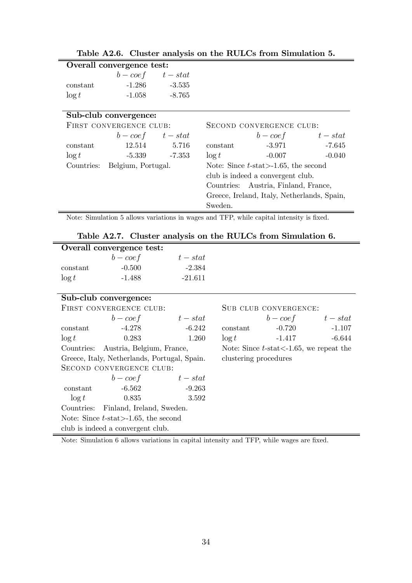| Lable A2.0. Chastel analysis on the Itelbes from bimulation 0. |                         |          |                                             |                          |          |  |
|----------------------------------------------------------------|-------------------------|----------|---------------------------------------------|--------------------------|----------|--|
| Overall convergence test:                                      |                         |          |                                             |                          |          |  |
|                                                                | $b - coef$ $t - stat$   |          |                                             |                          |          |  |
| constant                                                       | $-1.286$                | $-3.535$ |                                             |                          |          |  |
| $\log t$                                                       | $-1.058$                | $-8.765$ |                                             |                          |          |  |
|                                                                | Sub-club convergence:   |          |                                             |                          |          |  |
|                                                                | FIRST CONVERGENCE CLUB: |          |                                             | SECOND CONVERGENCE CLUB: |          |  |
|                                                                | $b - coef$ $t - stat$   |          |                                             | $b - coef$ $t - stat$    |          |  |
| constant                                                       | 12.514                  | 5.716    | constant                                    | $-3.971$                 | $-7.645$ |  |
| $\log t$                                                       | $-5.339$                | -7.353   | $\log t$                                    | $-0.007$                 | $-0.040$ |  |
| Countries:                                                     | Belgium, Portugal.      |          | Note: Since $t$ -stat $>$ -1.65, the second |                          |          |  |
|                                                                |                         |          | club is indeed a convergent club.           |                          |          |  |
|                                                                |                         |          | Countries: Austria, Finland, France,        |                          |          |  |
|                                                                |                         |          | Greece, Ireland, Italy, Netherlands, Spain, |                          |          |  |
| Sweden.                                                        |                         |          |                                             |                          |          |  |
| $\cdots$                                                       |                         |          |                                             |                          |          |  |

Table A2.6. Cluster analysis on the RULCs from Simulation 5.

Note: Simulation 5 allows variations in wages and TFP, while capital intensity is fixed.

|                                              | Overall convergence test:                   |                                                |                       |                       |          |
|----------------------------------------------|---------------------------------------------|------------------------------------------------|-----------------------|-----------------------|----------|
|                                              | $b - coef$                                  | $t - stat$                                     |                       |                       |          |
| constant                                     | $-0.500$                                    | $-2.384$                                       |                       |                       |          |
| $\log t$                                     | $-1.488$                                    | $-21.611$                                      |                       |                       |          |
|                                              |                                             |                                                |                       |                       |          |
|                                              | Sub-club convergence:                       |                                                |                       |                       |          |
|                                              | FIRST CONVERGENCE CLUB:                     |                                                |                       | SUB CLUB CONVERGENCE: |          |
|                                              | $b - coef$ $t - stat$                       |                                                |                       | $b - coef$ $t - stat$ |          |
| constant                                     | $-4.278$                                    | $-6.242$                                       | constant              | $-0.720$              | $-1.107$ |
| $\log t$                                     | 0.283                                       | 1.260                                          | $\log t$              | $-1.417$              | $-6.644$ |
| Countries: Austria, Belgium, France,         |                                             | Note: Since $t$ -stat $<$ -1.65, we repeat the |                       |                       |          |
| Greece, Italy, Netherlands, Portugal, Spain. |                                             |                                                | clustering procedures |                       |          |
|                                              | SECOND CONVERGENCE CLUB:                    |                                                |                       |                       |          |
|                                              | $b - coef$ $t - stat$                       |                                                |                       |                       |          |
| constant                                     | $-6.562$                                    | $-9.263$                                       |                       |                       |          |
| $\log t$                                     | 0.835                                       | 3.592                                          |                       |                       |          |
| Countries: Finland, Ireland, Sweden.         |                                             |                                                |                       |                       |          |
|                                              | Note: Since $t$ -stat $>$ -1.65, the second |                                                |                       |                       |          |
|                                              | club is indeed a convergent club.           |                                                |                       |                       |          |

Note: Simulation 6 allows variations in capital intensity and TFP, while wages are fixed.